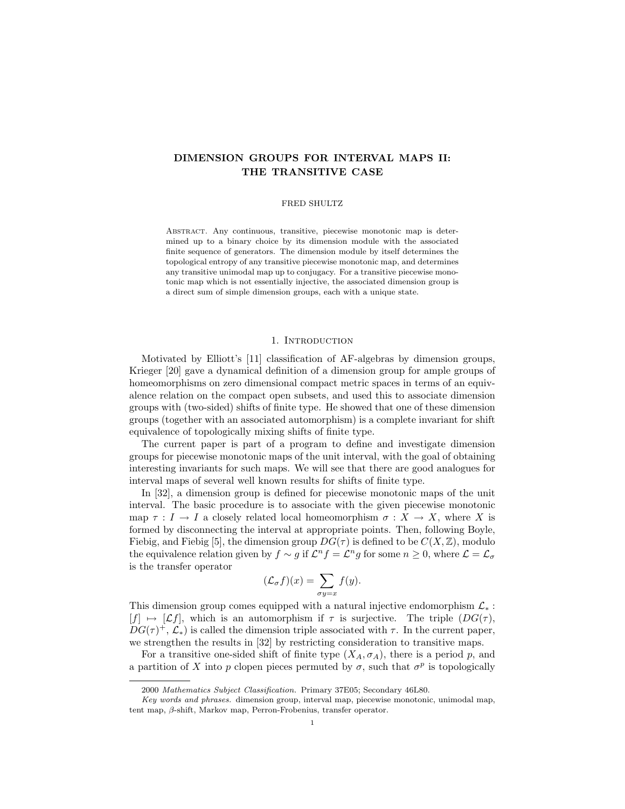# DIMENSION GROUPS FOR INTERVAL MAPS II: THE TRANSITIVE CASE

## FRED SHULTZ

Abstract. Any continuous, transitive, piecewise monotonic map is determined up to a binary choice by its dimension module with the associated finite sequence of generators. The dimension module by itself determines the topological entropy of any transitive piecewise monotonic map, and determines any transitive unimodal map up to conjugacy. For a transitive piecewise monotonic map which is not essentially injective, the associated dimension group is a direct sum of simple dimension groups, each with a unique state.

## 1. Introduction

Motivated by Elliott's [11] classification of AF-algebras by dimension groups, Krieger [20] gave a dynamical definition of a dimension group for ample groups of homeomorphisms on zero dimensional compact metric spaces in terms of an equivalence relation on the compact open subsets, and used this to associate dimension groups with (two-sided) shifts of finite type. He showed that one of these dimension groups (together with an associated automorphism) is a complete invariant for shift equivalence of topologically mixing shifts of finite type.

The current paper is part of a program to define and investigate dimension groups for piecewise monotonic maps of the unit interval, with the goal of obtaining interesting invariants for such maps. We will see that there are good analogues for interval maps of several well known results for shifts of finite type.

In [32], a dimension group is defined for piecewise monotonic maps of the unit interval. The basic procedure is to associate with the given piecewise monotonic map  $\tau : I \to I$  a closely related local homeomorphism  $\sigma : X \to X$ , where X is formed by disconnecting the interval at appropriate points. Then, following Boyle, Fiebig, and Fiebig [5], the dimension group  $DG(\tau)$  is defined to be  $C(X,\mathbb{Z})$ , modulo the equivalence relation given by  $f \sim g$  if  $\mathcal{L}^n f = \mathcal{L}^n g$  for some  $n \geq 0$ , where  $\mathcal{L} = \mathcal{L}_\sigma$ is the transfer operator

$$
(\mathcal{L}_{\sigma}f)(x) = \sum_{\sigma y = x} f(y).
$$

This dimension group comes equipped with a natural injective endomorphism  $\mathcal{L}_*$ :  $[f] \mapsto [\mathcal{L}f]$ , which is an automorphism if  $\tau$  is surjective. The triple  $(DG(\tau))$ ,  $DG(\tau)^+$ ,  $\mathcal{L}_*$ ) is called the dimension triple associated with  $\tau$ . In the current paper, we strengthen the results in [32] by restricting consideration to transitive maps.

For a transitive one-sided shift of finite type  $(X_A, \sigma_A)$ , there is a period p, and a partition of X into p clopen pieces permuted by  $\sigma$ , such that  $\sigma^p$  is topologically

<sup>2000</sup> Mathematics Subject Classification. Primary 37E05; Secondary 46L80.

Key words and phrases. dimension group, interval map, piecewise monotonic, unimodal map, tent map, β-shift, Markov map, Perron-Frobenius, transfer operator.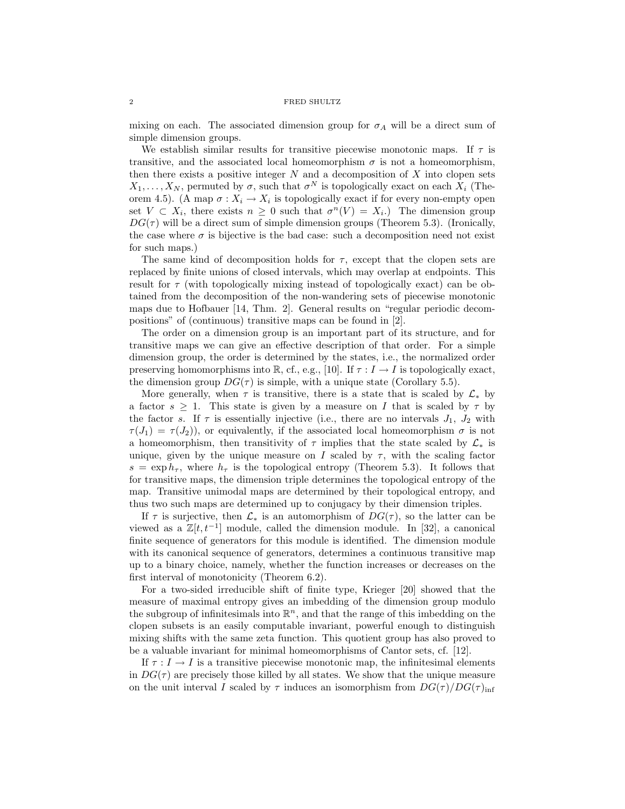mixing on each. The associated dimension group for  $\sigma_A$  will be a direct sum of simple dimension groups.

We establish similar results for transitive piecewise monotonic maps. If  $\tau$  is transitive, and the associated local homeomorphism  $\sigma$  is not a homeomorphism, then there exists a positive integer  $N$  and a decomposition of  $X$  into clopen sets  $X_1, \ldots, X_N$ , permuted by  $\sigma$ , such that  $\sigma^N$  is topologically exact on each  $X_i$  (Theorem 4.5). (A map  $\sigma: X_i \to X_i$  is topologically exact if for every non-empty open set  $V \subset X_i$ , there exists  $n \geq 0$  such that  $\sigma^n(V) = X_i$ .) The dimension group  $DG(\tau)$  will be a direct sum of simple dimension groups (Theorem 5.3). (Ironically, the case where  $\sigma$  is bijective is the bad case: such a decomposition need not exist for such maps.)

The same kind of decomposition holds for  $\tau$ , except that the clopen sets are replaced by finite unions of closed intervals, which may overlap at endpoints. This result for  $\tau$  (with topologically mixing instead of topologically exact) can be obtained from the decomposition of the non-wandering sets of piecewise monotonic maps due to Hofbauer [14, Thm. 2]. General results on "regular periodic decompositions" of (continuous) transitive maps can be found in [2].

The order on a dimension group is an important part of its structure, and for transitive maps we can give an effective description of that order. For a simple dimension group, the order is determined by the states, i.e., the normalized order preserving homomorphisms into R, cf., e.g., [10]. If  $\tau : I \to I$  is topologically exact, the dimension group  $DG(\tau)$  is simple, with a unique state (Corollary 5.5).

More generally, when  $\tau$  is transitive, there is a state that is scaled by  $\mathcal{L}_{*}$  by a factor  $s \geq 1$ . This state is given by a measure on I that is scaled by  $\tau$  by the factor s. If  $\tau$  is essentially injective (i.e., there are no intervals  $J_1$ ,  $J_2$  with  $\tau(J_1) = \tau(J_2)$ , or equivalently, if the associated local homeomorphism  $\sigma$  is not a homeomorphism, then transitivity of  $\tau$  implies that the state scaled by  $\mathcal{L}_{*}$  is unique, given by the unique measure on I scaled by  $\tau$ , with the scaling factor  $s = \exp h_{\tau}$ , where  $h_{\tau}$  is the topological entropy (Theorem 5.3). It follows that for transitive maps, the dimension triple determines the topological entropy of the map. Transitive unimodal maps are determined by their topological entropy, and thus two such maps are determined up to conjugacy by their dimension triples.

If  $\tau$  is surjective, then  $\mathcal{L}_{*}$  is an automorphism of  $DG(\tau)$ , so the latter can be viewed as a  $\mathbb{Z}[t, t^{-1}]$  module, called the dimension module. In [32], a canonical finite sequence of generators for this module is identified. The dimension module with its canonical sequence of generators, determines a continuous transitive map up to a binary choice, namely, whether the function increases or decreases on the first interval of monotonicity (Theorem 6.2).

For a two-sided irreducible shift of finite type, Krieger [20] showed that the measure of maximal entropy gives an imbedding of the dimension group modulo the subgroup of infinitesimals into  $\mathbb{R}^n$ , and that the range of this imbedding on the clopen subsets is an easily computable invariant, powerful enough to distinguish mixing shifts with the same zeta function. This quotient group has also proved to be a valuable invariant for minimal homeomorphisms of Cantor sets, cf. [12].

If  $\tau : I \to I$  is a transitive piecewise monotonic map, the infinitesimal elements in  $DG(\tau)$  are precisely those killed by all states. We show that the unique measure on the unit interval I scaled by  $\tau$  induces an isomorphism from  $DG(\tau)/DG(\tau)_{\text{inf}}$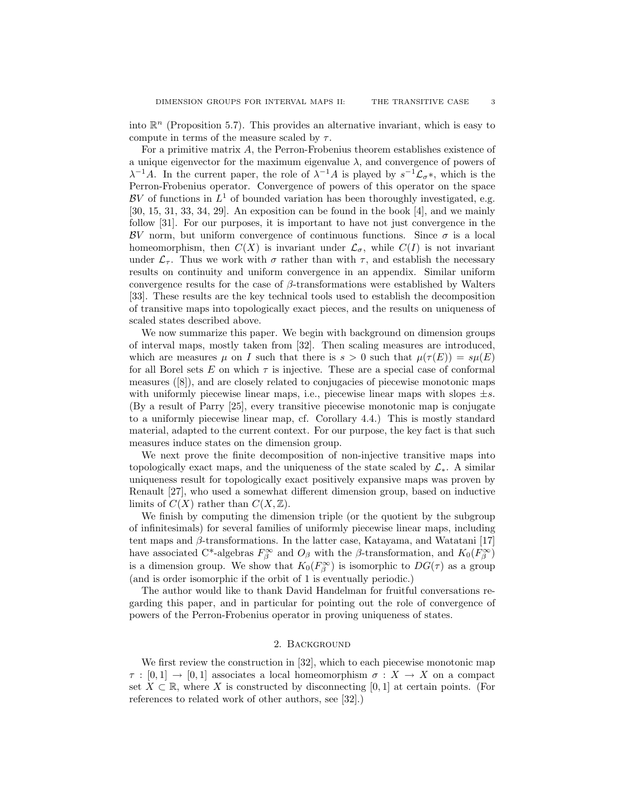into  $\mathbb{R}^n$  (Proposition 5.7). This provides an alternative invariant, which is easy to compute in terms of the measure scaled by  $\tau$ .

For a primitive matrix A, the Perron-Frobenius theorem establishes existence of a unique eigenvector for the maximum eigenvalue  $\lambda$ , and convergence of powers of  $\lambda^{-1}A$ . In the current paper, the role of  $\lambda^{-1}A$  is played by  $s^{-1}\mathcal{L}_{\sigma}$ \*, which is the Perron-Frobenius operator. Convergence of powers of this operator on the space BV of functions in  $L^1$  of bounded variation has been thoroughly investigated, e.g.  $[30, 15, 31, 33, 34, 29]$ . An exposition can be found in the book  $[4]$ , and we mainly follow [31]. For our purposes, it is important to have not just convergence in the BV norm, but uniform convergence of continuous functions. Since  $\sigma$  is a local homeomorphism, then  $C(X)$  is invariant under  $\mathcal{L}_{\sigma}$ , while  $C(I)$  is not invariant under  $\mathcal{L}_{\tau}$ . Thus we work with  $\sigma$  rather than with  $\tau$ , and establish the necessary results on continuity and uniform convergence in an appendix. Similar uniform convergence results for the case of  $\beta$ -transformations were established by Walters [33]. These results are the key technical tools used to establish the decomposition of transitive maps into topologically exact pieces, and the results on uniqueness of scaled states described above.

We now summarize this paper. We begin with background on dimension groups of interval maps, mostly taken from [32]. Then scaling measures are introduced, which are measures  $\mu$  on I such that there is  $s > 0$  such that  $\mu(\tau(E)) = s\mu(E)$ for all Borel sets E on which  $\tau$  is injective. These are a special case of conformal measures ([8]), and are closely related to conjugacies of piecewise monotonic maps with uniformly piecewise linear maps, i.e., piecewise linear maps with slopes  $\pm s$ . (By a result of Parry [25], every transitive piecewise monotonic map is conjugate to a uniformly piecewise linear map, cf. Corollary 4.4.) This is mostly standard material, adapted to the current context. For our purpose, the key fact is that such measures induce states on the dimension group.

We next prove the finite decomposition of non-injective transitive maps into topologically exact maps, and the uniqueness of the state scaled by  $\mathcal{L}_{*}$ . A similar uniqueness result for topologically exact positively expansive maps was proven by Renault [27], who used a somewhat different dimension group, based on inductive limits of  $C(X)$  rather than  $C(X, \mathbb{Z})$ .

We finish by computing the dimension triple (or the quotient by the subgroup of infinitesimals) for several families of uniformly piecewise linear maps, including tent maps and β-transformations. In the latter case, Katayama, and Watatani [17] have associated C<sup>\*</sup>-algebras  $F_\beta^\infty$  and  $O_\beta$  with the  $\beta$ -transformation, and  $K_0(F_\beta^\infty)$ is a dimension group. We show that  $K_0(F_\beta^\infty)$  is isomorphic to  $DG(\tau)$  as a group (and is order isomorphic if the orbit of 1 is eventually periodic.)

The author would like to thank David Handelman for fruitful conversations regarding this paper, and in particular for pointing out the role of convergence of powers of the Perron-Frobenius operator in proving uniqueness of states.

### 2. Background

We first review the construction in [32], which to each piecewise monotonic map  $\tau : [0,1] \to [0,1]$  associates a local homeomorphism  $\sigma : X \to X$  on a compact set  $X \subset \mathbb{R}$ , where X is constructed by disconnecting [0, 1] at certain points. (For references to related work of other authors, see [32].)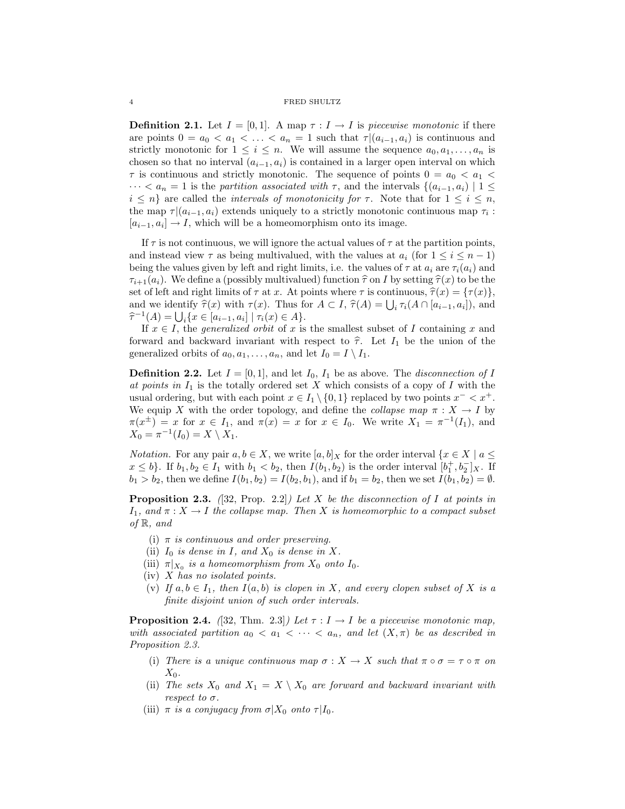**Definition 2.1.** Let  $I = [0, 1]$ . A map  $\tau : I \to I$  is piecewise monotonic if there are points  $0 = a_0 < a_1 < \ldots < a_n = 1$  such that  $\tau | (a_{i-1}, a_i)$  is continuous and strictly monotonic for  $1 \leq i \leq n$ . We will assume the sequence  $a_0, a_1, \ldots, a_n$  is chosen so that no interval  $(a_{i-1}, a_i)$  is contained in a larger open interval on which  $\tau$  is continuous and strictly monotonic. The sequence of points  $0 = a_0 < a_1 <$  $\cdots < a_n = 1$  is the partition associated with  $\tau$ , and the intervals  $\{(a_{i-1}, a_i) \mid 1 \leq i \leq n-1\}$  $i \leq n$  are called the *intervals of monotonicity for*  $\tau$ . Note that for  $1 \leq i \leq n$ , the map  $\tau | (a_{i-1}, a_i)$  extends uniquely to a strictly monotonic continuous map  $\tau_i$ :  $[a_{i-1}, a_i] \rightarrow I$ , which will be a homeomorphism onto its image.

If  $\tau$  is not continuous, we will ignore the actual values of  $\tau$  at the partition points, and instead view  $\tau$  as being multivalued, with the values at  $a_i$  (for  $1 \leq i \leq n-1$ ) being the values given by left and right limits, i.e. the values of  $\tau$  at  $a_i$  are  $\tau_i(a_i)$  and  $\tau_{i+1}(a_i)$ . We define a (possibly multivalued) function  $\hat{\tau}$  on I by setting  $\hat{\tau}(x)$  to be the set of left and right limits of  $\tau$  at x. At points where  $\tau$  is continuous,  $\hat{\tau}(x) = {\tau(x)}$ , and we identify  $\hat{\tau}(x)$  with  $\tau(x)$ . Thus for  $A \subset I$ ,  $\hat{\tau}(A) = \bigcup_i \tau_i(A \cap [a_{i-1}, a_i])$ , and  $\hat{\tau}(A) = \bigcup_i \tau_i(A) = \bigcup_i \tau_i(A)$ .  $\hat{\tau}^{-1}(A) = \bigcup_i \{x \in [a_{i-1}, a_i] \mid \tau_i(x) \in A\}.$ <br>If  $x \in I$ , the generalized orbit of x is

If  $x \in I$ , the *generalized orbit* of x is the smallest subset of I containing x and forward and backward invariant with respect to  $\hat{\tau}$ . Let  $I_1$  be the union of the generalized orbits of  $a_0, a_1, \ldots, a_n$ , and let  $I_0 = I \setminus I_1$ .

**Definition 2.2.** Let  $I = [0, 1]$ , and let  $I_0$ ,  $I_1$  be as above. The *disconnection of* I at points in  $I_1$  is the totally ordered set X which consists of a copy of I with the usual ordering, but with each point  $x \in I_1 \setminus \{0,1\}$  replaced by two points  $x^- < x^+$ . We equip X with the order topology, and define the *collapse map*  $\pi : X \to I$  by  $\pi(x^{\pm}) = x$  for  $x \in I_1$ , and  $\pi(x) = x$  for  $x \in I_0$ . We write  $X_1 = \pi^{-1}(I_1)$ , and  $X_0 = \pi^{-1}(I_0) = X \setminus X_1.$ 

*Notation.* For any pair  $a, b \in X$ , we write  $[a, b]_X$  for the order interval  $\{x \in X \mid a \leq x \leq x\}$  $x \leq b$ . If  $b_1, b_2 \in I_1$  with  $b_1 < b_2$ , then  $I(b_1, b_2)$  is the order interval  $[b_1^+, b_2^-]_X$ . If  $b_1 > b_2$ , then we define  $I(b_1, b_2) = I(b_2, b_1)$ , and if  $b_1 = b_2$ , then we set  $I(b_1, b_2) = \emptyset$ .

**Proposition 2.3.** ([32, Prop. 2.2]) Let X be the disconnection of I at points in  $I_1$ , and  $\pi: X \to I$  the collapse map. Then X is homeomorphic to a compact subset of  $\mathbb{R}$ , and

- (i)  $\pi$  is continuous and order preserving.
- (ii)  $I_0$  is dense in I, and  $X_0$  is dense in X.
- (iii)  $\pi|_{X_0}$  is a homeomorphism from  $X_0$  onto  $I_0$ .
- (iv) X has no isolated points.
- (v) If  $a, b \in I_1$ , then  $I(a, b)$  is clopen in X, and every clopen subset of X is a finite disjoint union of such order intervals.

**Proposition 2.4.** ([32, Thm. 2.3]) Let  $\tau : I \to I$  be a piecewise monotonic map, with associated partition  $a_0 < a_1 < \cdots < a_n$ , and let  $(X,\pi)$  be as described in Proposition 2.3.

- (i) There is a unique continuous map  $\sigma : X \to X$  such that  $\pi \circ \sigma = \tau \circ \pi$  on  $X_0$ .
- (ii) The sets  $X_0$  and  $X_1 = X \setminus X_0$  are forward and backward invariant with respect to  $\sigma$ .
- (iii)  $\pi$  is a conjugacy from  $\sigma|X_0$  onto  $\tau|I_0$ .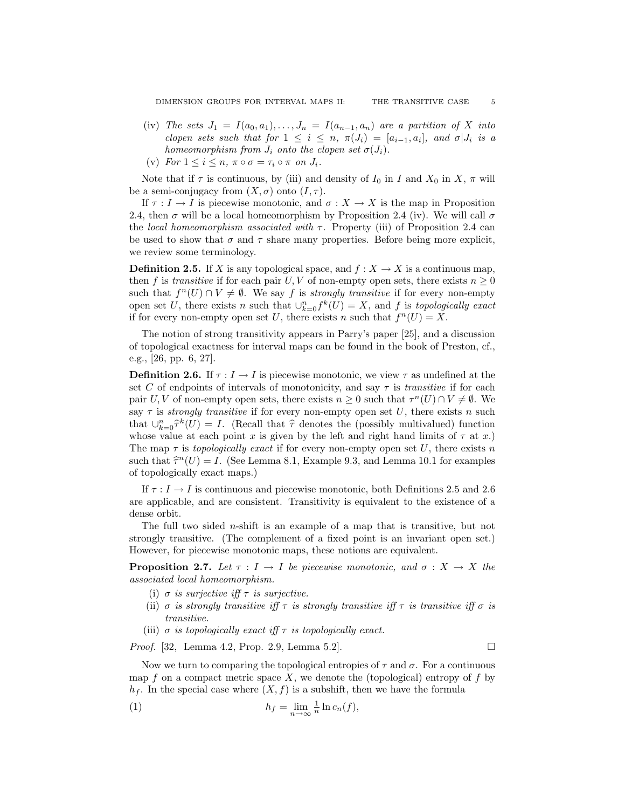- (iv) The sets  $J_1 = I(a_0, a_1), \ldots, J_n = I(a_{n-1}, a_n)$  are a partition of X into clopen sets such that for  $1 \leq i \leq n$ ,  $\pi(J_i) = [a_{i-1}, a_i]$ , and  $\sigma | J_i$  is a homeomorphism from  $J_i$  onto the clopen set  $\sigma(J_i)$ .
- (v) For  $1 \leq i \leq n$ ,  $\pi \circ \sigma = \tau_i \circ \pi$  on  $J_i$ .

Note that if  $\tau$  is continuous, by (iii) and density of  $I_0$  in I and  $X_0$  in X,  $\pi$  will be a semi-conjugacy from  $(X, \sigma)$  onto  $(I, \tau)$ .

If  $\tau : I \to I$  is piecewise monotonic, and  $\sigma : X \to X$  is the map in Proposition 2.4, then  $\sigma$  will be a local homeomorphism by Proposition 2.4 (iv). We will call  $\sigma$ the local homeomorphism associated with  $\tau$ . Property (iii) of Proposition 2.4 can be used to show that  $\sigma$  and  $\tau$  share many properties. Before being more explicit, we review some terminology.

**Definition 2.5.** If X is any topological space, and  $f : X \to X$  is a continuous map, then f is transitive if for each pair U, V of non-empty open sets, there exists  $n \geq 0$ such that  $f^{n}(U) \cap V \neq \emptyset$ . We say f is *strongly transitive* if for every non-empty open set U, there exists n such that  $\bigcup_{k=0}^{n} f^k(U) = X$ , and f is topologically exact if for every non-empty open set U, there exists n such that  $f^{n}(U) = X$ .

The notion of strong transitivity appears in Parry's paper [25], and a discussion of topological exactness for interval maps can be found in the book of Preston, cf., e.g., [26, pp. 6, 27].

**Definition 2.6.** If  $\tau : I \to I$  is piecewise monotonic, we view  $\tau$  as undefined at the set C of endpoints of intervals of monotonicity, and say  $\tau$  is transitive if for each pair U, V of non-empty open sets, there exists  $n \geq 0$  such that  $\tau^{n}(U) \cap V \neq \emptyset$ . We say  $\tau$  is *strongly transitive* if for every non-empty open set U, there exists n such that  $\bigcup_{k=0}^{n} \hat{\tau}^k(U) = I$ . (Recall that  $\hat{\tau}$  denotes the (possibly multivalued) function<br>whose value at each point x is given by the left and right hand limits of  $\tau$  at x) whose value at each point x is given by the left and right hand limits of  $\tau$  at x.) The map  $\tau$  is topologically exact if for every non-empty open set U, there exists n such that  $\hat{\tau}^n(U) = I$ . (See Lemma 8.1, Example 9.3, and Lemma 10.1 for examples of topologically exact maps.)

If  $\tau : I \to I$  is continuous and piecewise monotonic, both Definitions 2.5 and 2.6 are applicable, and are consistent. Transitivity is equivalent to the existence of a dense orbit.

The full two sided n-shift is an example of a map that is transitive, but not strongly transitive. (The complement of a fixed point is an invariant open set.) However, for piecewise monotonic maps, these notions are equivalent.

**Proposition 2.7.** Let  $\tau : I \to I$  be piecewise monotonic, and  $\sigma : X \to X$  the associated local homeomorphism.

- (i)  $\sigma$  is surjective iff  $\tau$  is surjective.
- (ii)  $\sigma$  is strongly transitive iff  $\tau$  is strongly transitive iff  $\tau$  is transitive iff  $\sigma$  is transitive.
- (iii)  $\sigma$  is topologically exact iff  $\tau$  is topologically exact.

*Proof.* [32, Lemma 4.2, Prop. 2.9, Lemma 5.2].

Now we turn to comparing the topological entropies of  $\tau$  and  $\sigma$ . For a continuous map f on a compact metric space  $X$ , we denote the (topological) entropy of f by  $h_f$ . In the special case where  $(X, f)$  is a subshift, then we have the formula

(1) 
$$
h_f = \lim_{n \to \infty} \frac{1}{n} \ln c_n(f),
$$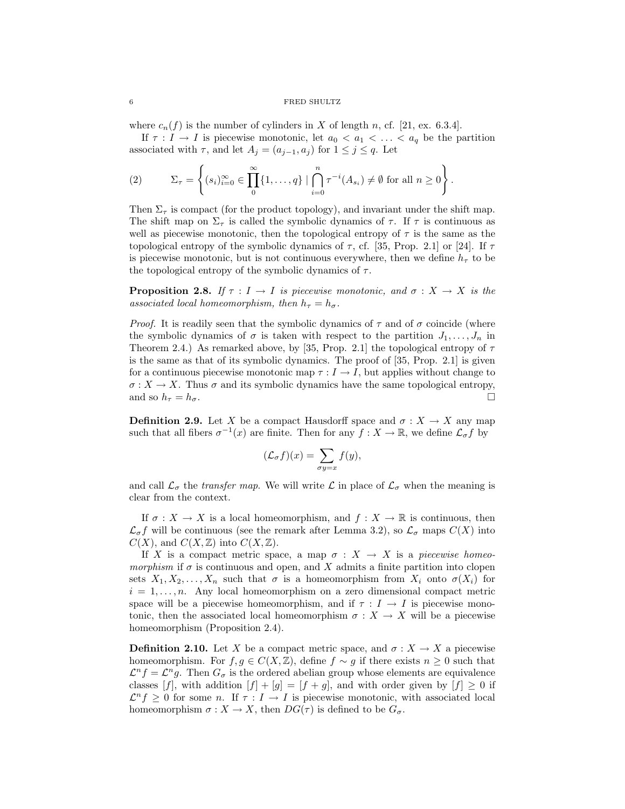where  $c_n(f)$  is the number of cylinders in X of length n, cf. [21, ex. 6.3.4].

If  $\tau : I \to I$  is piecewise monotonic, let  $a_0 < a_1 < \ldots < a_q$  be the partition associated with  $\tau$ , and let  $A_j = (a_{j-1}, a_j)$  for  $1 \leq j \leq q$ . Let

(2) 
$$
\Sigma_{\tau} = \left\{ (s_i)_{i=0}^{\infty} \in \prod_{0}^{\infty} \{1, \ldots, q\} \mid \bigcap_{i=0}^{n} \tau^{-i}(A_{s_i}) \neq \emptyset \text{ for all } n \geq 0 \right\}.
$$

Then  $\Sigma_{\tau}$  is compact (for the product topology), and invariant under the shift map. The shift map on  $\Sigma_{\tau}$  is called the symbolic dynamics of  $\tau$ . If  $\tau$  is continuous as well as piecewise monotonic, then the topological entropy of  $\tau$  is the same as the topological entropy of the symbolic dynamics of  $\tau$ , cf. [35, Prop. 2.1] or [24]. If  $\tau$ is piecewise monotonic, but is not continuous everywhere, then we define  $h_{\tau}$  to be the topological entropy of the symbolic dynamics of  $\tau$ .

**Proposition 2.8.** If  $\tau : I \to I$  is piecewise monotonic, and  $\sigma : X \to X$  is the associated local homeomorphism, then  $h_{\tau} = h_{\sigma}$ .

*Proof.* It is readily seen that the symbolic dynamics of  $\tau$  and of  $\sigma$  coincide (where the symbolic dynamics of  $\sigma$  is taken with respect to the partition  $J_1, \ldots, J_n$  in Theorem 2.4.) As remarked above, by [35, Prop. 2.1] the topological entropy of  $\tau$ is the same as that of its symbolic dynamics. The proof of [35, Prop. 2.1] is given for a continuous piecewise monotonic map  $\tau : I \to I$ , but applies without change to  $\sigma: X \to X$ . Thus  $\sigma$  and its symbolic dynamics have the same topological entropy, and so  $h_{\tau} = h_{\sigma}$ .

**Definition 2.9.** Let X be a compact Hausdorff space and  $\sigma: X \to X$  any map such that all fibers  $\sigma^{-1}(x)$  are finite. Then for any  $f: X \to \mathbb{R}$ , we define  $\mathcal{L}_{\sigma} f$  by

$$
(\mathcal{L}_{\sigma}f)(x) = \sum_{\sigma y = x} f(y),
$$

and call  $\mathcal{L}_{\sigma}$  the *transfer map*. We will write  $\mathcal{L}$  in place of  $\mathcal{L}_{\sigma}$  when the meaning is clear from the context.

If  $\sigma: X \to X$  is a local homeomorphism, and  $f: X \to \mathbb{R}$  is continuous, then  $\mathcal{L}_{\sigma}f$  will be continuous (see the remark after Lemma 3.2), so  $\mathcal{L}_{\sigma}$  maps  $C(X)$  into  $C(X)$ , and  $C(X,\mathbb{Z})$  into  $C(X,\mathbb{Z})$ .

If X is a compact metric space, a map  $\sigma : X \to X$  is a piecewise homeomorphism if  $\sigma$  is continuous and open, and X admits a finite partition into clopen sets  $X_1, X_2, \ldots, X_n$  such that  $\sigma$  is a homeomorphism from  $X_i$  onto  $\sigma(X_i)$  for  $i = 1, \ldots, n$ . Any local homeomorphism on a zero dimensional compact metric space will be a piecewise homeomorphism, and if  $\tau : I \to I$  is piecewise monotonic, then the associated local homeomorphism  $\sigma : X \to X$  will be a piecewise homeomorphism (Proposition 2.4).

**Definition 2.10.** Let X be a compact metric space, and  $\sigma: X \to X$  a piecewise homeomorphism. For  $f, g \in C(X, \mathbb{Z})$ , define  $f \sim g$  if there exists  $n \geq 0$  such that  $\mathcal{L}^n f = \mathcal{L}^n g$ . Then  $G_{\sigma}$  is the ordered abelian group whose elements are equivalence classes [f], with addition  $[f] + [g] = [f + g]$ , and with order given by  $[f] \geq 0$  if  $\mathcal{L}^n f \geq 0$  for some n. If  $\tau : I \to I$  is piecewise monotonic, with associated local homeomorphism  $\sigma: X \to X$ , then  $DG(\tau)$  is defined to be  $G_{\sigma}$ .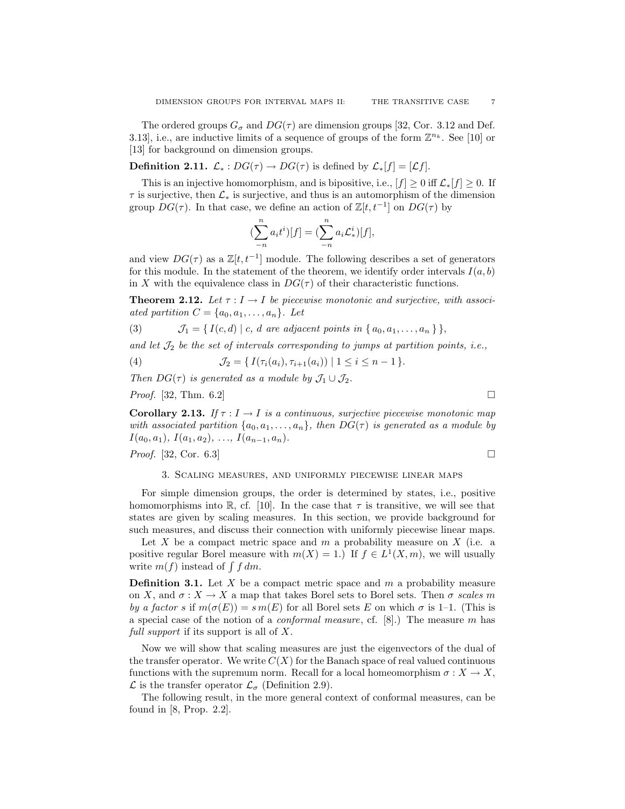The ordered groups  $G_{\sigma}$  and  $DG(\tau)$  are dimension groups [32, Cor. 3.12 and Def. 3.13, i.e., are inductive limits of a sequence of groups of the form  $\mathbb{Z}^{n_k}$ . See [10] or [13] for background on dimension groups.

**Definition 2.11.**  $\mathcal{L}_* : DG(\tau) \to DG(\tau)$  is defined by  $\mathcal{L}_*[f] = [\mathcal{L}f]$ .

This is an injective homomorphism, and is bipositive, i.e.,  $[f] \geq 0$  iff  $\mathcal{L}_*[f] \geq 0$ . If  $\tau$  is surjective, then  $\mathcal{L}_{*}$  is surjective, and thus is an automorphism of the dimension group  $DG(\tau)$ . In that case, we define an action of  $\mathbb{Z}[t, t^{-1}]$  on  $DG(\tau)$  by

$$
\left(\sum_{n=1}^{n} a_i t^i\right)[f] = \left(\sum_{n=1}^{n} a_i \mathcal{L}_{*}^i\right)[f],
$$

and view  $DG(\tau)$  as a  $\mathbb{Z}[t, t^{-1}]$  module. The following describes a set of generators for this module. In the statement of the theorem, we identify order intervals  $I(a, b)$ in X with the equivalence class in  $DG(\tau)$  of their characteristic functions.

**Theorem 2.12.** Let  $\tau : I \to I$  be piecewise monotonic and surjective, with associated partition  $C = \{a_0, a_1, \ldots, a_n\}$ . Let

(3) 
$$
\mathcal{J}_1 = \{ I(c,d) \mid c, d \text{ are adjacent points in } \{a_0, a_1, \ldots, a_n \} \},
$$

and let  $\mathcal{J}_2$  be the set of intervals corresponding to jumps at partition points, i.e.,

(4) 
$$
\mathcal{J}_2 = \{ I(\tau_i(a_i), \tau_{i+1}(a_i)) \mid 1 \leq i \leq n-1 \}.
$$

Then  $DG(\tau)$  is generated as a module by  $\mathcal{J}_1 \cup \mathcal{J}_2$ .

*Proof.* [32, Thm. 6.2]

**Corollary 2.13.** If  $\tau : I \to I$  is a continuous, surjective piecewise monotonic map with associated partition  $\{a_0, a_1, \ldots, a_n\}$ , then  $DG(\tau)$  is generated as a module by  $I(a_0, a_1), I(a_1, a_2), \ldots, I(a_{n-1}, a_n).$ 

*Proof.* [32, Cor. 6.3]

## 3. Scaling measures, and uniformly piecewise linear maps

For simple dimension groups, the order is determined by states, i.e., positive homomorphisms into R, cf. [10]. In the case that  $\tau$  is transitive, we will see that states are given by scaling measures. In this section, we provide background for such measures, and discuss their connection with uniformly piecewise linear maps.

Let X be a compact metric space and  $m$  a probability measure on  $X$  (i.e. a positive regular Borel measure with  $m(X) = 1$ .) If  $f \in L^1(X, m)$ , we will usually write  $m(f)$  instead of  $\int f dm$ .

**Definition 3.1.** Let X be a compact metric space and  $m$  a probability measure on X, and  $\sigma: X \to X$  a map that takes Borel sets to Borel sets. Then  $\sigma$  scales m by a factor s if  $m(\sigma(E)) = s m(E)$  for all Borel sets E on which  $\sigma$  is 1–1. (This is a special case of the notion of a *conformal measure*, cf. [8].) The measure m has full support if its support is all of X.

Now we will show that scaling measures are just the eigenvectors of the dual of the transfer operator. We write  $C(X)$  for the Banach space of real valued continuous functions with the supremum norm. Recall for a local homeomorphism  $\sigma : X \to X$ ,  $\mathcal{L}$  is the transfer operator  $\mathcal{L}_{\sigma}$  (Definition 2.9).

The following result, in the more general context of conformal measures, can be found in [8, Prop. 2.2].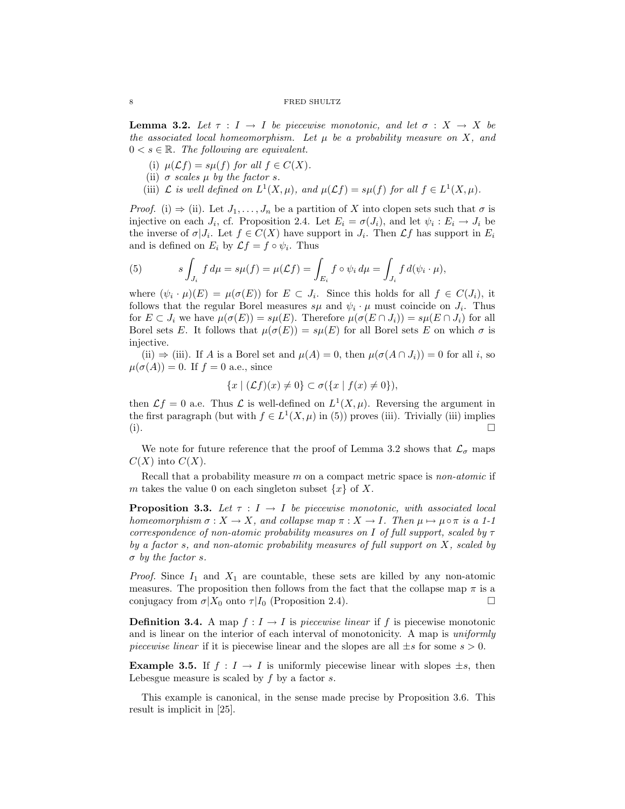**Lemma 3.2.** Let  $\tau : I \to I$  be piecewise monotonic, and let  $\sigma : X \to X$  be the associated local homeomorphism. Let  $\mu$  be a probability measure on X, and  $0 \lt s \in \mathbb{R}$ . The following are equivalent.

- (i)  $\mu(\mathcal{L}f) = s\mu(f)$  for all  $f \in C(X)$ .
- (ii)  $\sigma$  scales  $\mu$  by the factor s.
- (iii)  $\mathcal L$  is well defined on  $L^1(X,\mu)$ , and  $\mu(\mathcal L f) = s\mu(f)$  for all  $f \in L^1(X,\mu)$ .

*Proof.* (i)  $\Rightarrow$  (ii). Let  $J_1, \ldots, J_n$  be a partition of X into clopen sets such that  $\sigma$  is injective on each  $J_i$ , cf. Proposition 2.4. Let  $E_i = \sigma(J_i)$ , and let  $\psi_i : E_i \to J_i$  be the inverse of  $\sigma | J_i$ . Let  $f \in C(X)$  have support in  $J_i$ . Then  $\mathcal{L}f$  has support in  $E_i$ and is defined on  $E_i$  by  $\mathcal{L}f = f \circ \psi_i$ . Thus

(5) 
$$
s \int_{J_i} f d\mu = s\mu(f) = \mu(\mathcal{L}f) = \int_{E_i} f \circ \psi_i d\mu = \int_{J_i} f d(\psi_i \cdot \mu),
$$

where  $(\psi_i \cdot \mu)(E) = \mu(\sigma(E))$  for  $E \subset J_i$ . Since this holds for all  $f \in C(J_i)$ , it follows that the regular Borel measures  $s\mu$  and  $\psi_i \cdot \mu$  must coincide on  $J_i$ . Thus for  $E \subset J_i$  we have  $\mu(\sigma(E)) = s\mu(E)$ . Therefore  $\mu(\sigma(E \cap J_i)) = s\mu(E \cap J_i)$  for all Borel sets E. It follows that  $\mu(\sigma(E)) = s\mu(E)$  for all Borel sets E on which  $\sigma$  is injective.

(ii)  $\Rightarrow$  (iii). If A is a Borel set and  $\mu(A) = 0$ , then  $\mu(\sigma(A \cap J_i)) = 0$  for all i, so  $\mu(\sigma(A)) = 0$ . If  $f = 0$  a.e., since

$$
\{x \mid (\mathcal{L}f)(x) \neq 0\} \subset \sigma(\{x \mid f(x) \neq 0\}),
$$

then  $\mathcal{L}f = 0$  a.e. Thus  $\mathcal{L}$  is well-defined on  $L^1(X, \mu)$ . Reversing the argument in the first paragraph (but with  $f \in L^1(X, \mu)$  in (5)) proves (iii). Trivially (iii) implies (i).

We note for future reference that the proof of Lemma 3.2 shows that  $\mathcal{L}_{\sigma}$  maps  $C(X)$  into  $C(X)$ .

Recall that a probability measure  $m$  on a compact metric space is *non-atomic* if m takes the value 0 on each singleton subset  $\{x\}$  of X.

**Proposition 3.3.** Let  $\tau : I \to I$  be piecewise monotonic, with associated local homeomorphism  $\sigma : X \to X$ , and collapse map  $\pi : X \to I$ . Then  $\mu \mapsto \mu \circ \pi$  is a 1-1 correspondence of non-atomic probability measures on I of full support, scaled by  $\tau$ by a factor s, and non-atomic probability measures of full support on  $X$ , scaled by  $\sigma$  by the factor s.

*Proof.* Since  $I_1$  and  $X_1$  are countable, these sets are killed by any non-atomic measures. The proposition then follows from the fact that the collapse map  $\pi$  is a conjugacy from  $\sigma|X_0$  onto  $\tau|I_0$  (Proposition 2.4).

**Definition 3.4.** A map  $f: I \to I$  is piecewise linear if f is piecewise monotonic and is linear on the interior of each interval of monotonicity. A map is uniformly piecewise linear if it is piecewise linear and the slopes are all  $\pm s$  for some  $s > 0$ .

**Example 3.5.** If  $f : I \to I$  is uniformly piecewise linear with slopes  $\pm s$ , then Lebesgue measure is scaled by  $f$  by a factor  $s$ .

This example is canonical, in the sense made precise by Proposition 3.6. This result is implicit in [25].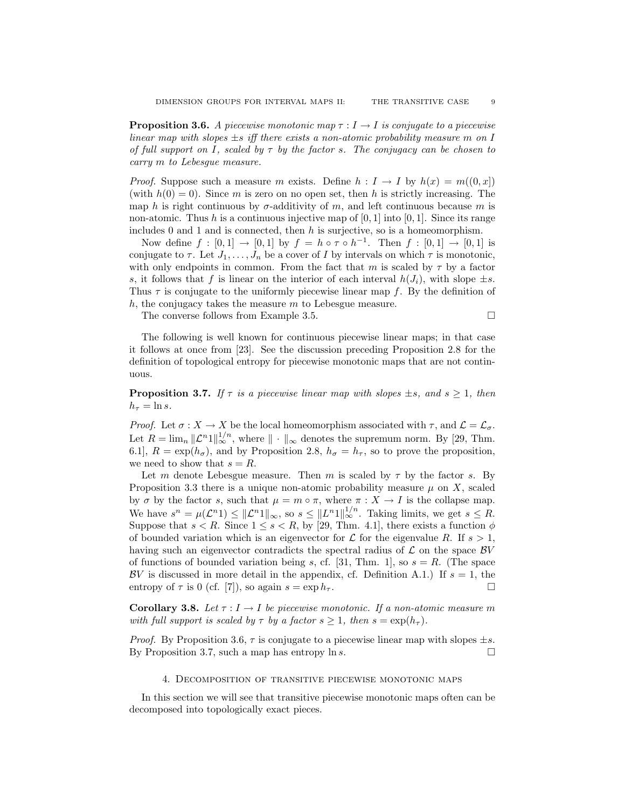**Proposition 3.6.** A piecewise monotonic map  $\tau : I \to I$  is conjugate to a piecewise linear map with slopes  $\pm s$  iff there exists a non-atomic probability measure m on I of full support on I, scaled by  $\tau$  by the factor s. The conjugacy can be chosen to carry m to Lebesgue measure.

*Proof.* Suppose such a measure m exists. Define  $h : I \to I$  by  $h(x) = m((0, x])$ (with  $h(0) = 0$ ). Since m is zero on no open set, then h is strictly increasing. The map h is right continuous by  $\sigma$ -additivity of m, and left continuous because m is non-atomic. Thus h is a continuous injective map of  $[0, 1]$  into  $[0, 1]$ . Since its range includes  $0$  and  $1$  and is connected, then  $h$  is surjective, so is a homeomorphism.

Now define  $f : [0,1] \to [0,1]$  by  $f = h \circ \tau \circ h^{-1}$ . Then  $f : [0,1] \to [0,1]$  is conjugate to  $\tau$ . Let  $J_1, \ldots, J_n$  be a cover of I by intervals on which  $\tau$  is monotonic, with only endpoints in common. From the fact that m is scaled by  $\tau$  by a factor s, it follows that f is linear on the interior of each interval  $h(J_i)$ , with slope  $\pm s$ . Thus  $\tau$  is conjugate to the uniformly piecewise linear map f. By the definition of  $h$ , the conjugacy takes the measure  $m$  to Lebesgue measure.

The converse follows from Example 3.5.

The following is well known for continuous piecewise linear maps; in that case it follows at once from [23]. See the discussion preceding Proposition 2.8 for the definition of topological entropy for piecewise monotonic maps that are not continuous.

**Proposition 3.7.** If  $\tau$  is a piecewise linear map with slopes  $\pm s$ , and  $s \geq 1$ , then  $h_\tau = \ln s.$ 

*Proof.* Let  $\sigma: X \to X$  be the local homeomorphism associated with  $\tau$ , and  $\mathcal{L} = \mathcal{L}_{\sigma}$ . Let  $R = \lim_{n} ||\mathcal{L}^n1||_{\infty}^{1/n}$ , where  $|| \cdot ||_{\infty}$  denotes the supremum norm. By [29, Thm. 6.1],  $R = \exp(h_{\sigma})$ , and by Proposition 2.8,  $h_{\sigma} = h_{\tau}$ , so to prove the proposition, we need to show that  $s = R$ .

Let m denote Lebesgue measure. Then m is scaled by  $\tau$  by the factor s. By Proposition 3.3 there is a unique non-atomic probability measure  $\mu$  on X, scaled by  $\sigma$  by the factor s, such that  $\mu = m \circ \pi$ , where  $\pi : X \to I$  is the collapse map. We have  $s^n = \mu(\mathcal{L}^n) \leq ||\mathcal{L}^n1||_{\infty}$ , so  $s \leq ||L^n1||_{\infty}^{1/n}$ . Taking limits, we get  $s \leq R$ . Suppose that  $s < R$ . Since  $1 \leq s < R$ , by [29, Thm. 4.1], there exists a function  $\phi$ of bounded variation which is an eigenvector for  $\mathcal L$  for the eigenvalue R. If  $s > 1$ , having such an eigenvector contradicts the spectral radius of  $\mathcal L$  on the space  $\mathcal BV$ of functions of bounded variation being s, cf. [31, Thm. 1], so  $s = R$ . (The space BV is discussed in more detail in the appendix, cf. Definition A.1.) If  $s = 1$ , the entropy of  $\tau$  is 0 (cf. [7]), so again  $s = \exp h_{\tau}$ .

**Corollary 3.8.** Let  $\tau : I \to I$  be piecewise monotonic. If a non-atomic measure m with full support is scaled by  $\tau$  by a factor  $s > 1$ , then  $s = \exp(h_\tau)$ .

*Proof.* By Proposition 3.6,  $\tau$  is conjugate to a piecewise linear map with slopes  $\pm s$ . By Proposition 3.7, such a map has entropy  $\ln s$ .

## 4. Decomposition of transitive piecewise monotonic maps

In this section we will see that transitive piecewise monotonic maps often can be decomposed into topologically exact pieces.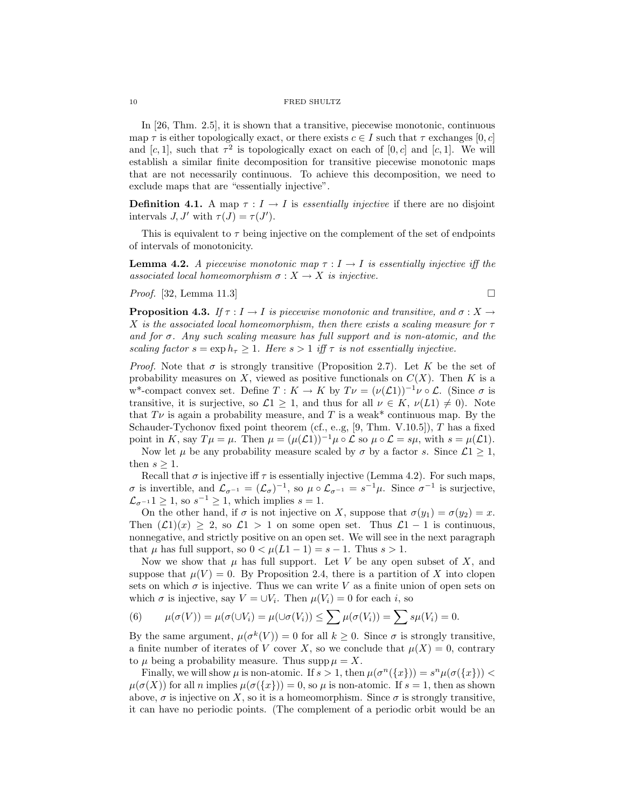In [26, Thm. 2.5], it is shown that a transitive, piecewise monotonic, continuous map  $\tau$  is either topologically exact, or there exists  $c \in I$  such that  $\tau$  exchanges [0, c] and [c, 1], such that  $\tau^2$  is topologically exact on each of [0, c] and [c, 1]. We will establish a similar finite decomposition for transitive piecewise monotonic maps that are not necessarily continuous. To achieve this decomposition, we need to exclude maps that are "essentially injective".

**Definition 4.1.** A map  $\tau : I \to I$  is essentially injective if there are no disjoint intervals  $J, J'$  with  $\tau(J) = \tau(J')$ .

This is equivalent to  $\tau$  being injective on the complement of the set of endpoints of intervals of monotonicity.

**Lemma 4.2.** A piecewise monotonic map  $\tau : I \to I$  is essentially injective iff the associated local homeomorphism  $\sigma : X \to X$  is injective.

*Proof.* [32, Lemma 11.3]

**Proposition 4.3.** If  $\tau : I \to I$  is piecewise monotonic and transitive, and  $\sigma : X \to I$ X is the associated local homeomorphism, then there exists a scaling measure for  $\tau$ and for  $\sigma$ . Any such scaling measure has full support and is non-atomic, and the scaling factor  $s = \exp h_{\tau} \geq 1$ . Here  $s > 1$  iff  $\tau$  is not essentially injective.

*Proof.* Note that  $\sigma$  is strongly transitive (Proposition 2.7). Let K be the set of probability measures on X, viewed as positive functionals on  $C(X)$ . Then K is a w<sup>\*</sup>-compact convex set. Define  $T : K \to K$  by  $T\nu = (\nu(\mathcal{L}1))^{-1}\nu \circ \mathcal{L}$ . (Since  $\sigma$  is transitive, it is surjective, so  $\mathcal{L}1 \geq 1$ , and thus for all  $\nu \in K$ ,  $\nu(L1) \neq 0$ ). Note that  $T\nu$  is again a probability measure, and T is a weak\* continuous map. By the Schauder-Tychonov fixed point theorem (cf., e.g,  $[9, Thm. V.10.5]$ ), T has a fixed point in K, say  $T\mu = \mu$ . Then  $\mu = (\mu(\mathcal{L}1))^{-1}\mu \circ \mathcal{L}$  so  $\mu \circ \mathcal{L} = s\mu$ , with  $s = \mu(\mathcal{L}1)$ .

Now let  $\mu$  be any probability measure scaled by  $\sigma$  by a factor s. Since  $\mathcal{L}1 \geq 1$ , then  $s > 1$ .

Recall that  $\sigma$  is injective iff  $\tau$  is essentially injective (Lemma 4.2). For such maps,  $\sigma$  is invertible, and  $\mathcal{L}_{\sigma^{-1}} = (\mathcal{L}_{\sigma})^{-1}$ , so  $\mu \circ \mathcal{L}_{\sigma^{-1}} = s^{-1} \mu$ . Since  $\sigma^{-1}$  is surjective,  $\mathcal{L}_{\sigma^{-1}}1 \geq 1$ , so  $s^{-1} \geq 1$ , which implies  $s = 1$ .

On the other hand, if  $\sigma$  is not injective on X, suppose that  $\sigma(y_1) = \sigma(y_2) = x$ . Then  $(\mathcal{L}1)(x) \geq 2$ , so  $\mathcal{L}1 > 1$  on some open set. Thus  $\mathcal{L}1 - 1$  is continuous, nonnegative, and strictly positive on an open set. We will see in the next paragraph that  $\mu$  has full support, so  $0 < \mu(L1 - 1) = s - 1$ . Thus  $s > 1$ .

Now we show that  $\mu$  has full support. Let V be any open subset of X, and suppose that  $\mu(V) = 0$ . By Proposition 2.4, there is a partition of X into clopen sets on which  $\sigma$  is injective. Thus we can write V as a finite union of open sets on which  $\sigma$  is injective, say  $V = \bigcup V_i$ . Then  $\mu(V_i) = 0$  for each i, so

(6) 
$$
\mu(\sigma(V)) = \mu(\sigma(\cup V_i)) = \mu(\cup \sigma(V_i)) \le \sum \mu(\sigma(V_i)) = \sum s\mu(V_i) = 0.
$$

By the same argument,  $\mu(\sigma^k(V)) = 0$  for all  $k \geq 0$ . Since  $\sigma$  is strongly transitive, a finite number of iterates of V cover X, so we conclude that  $\mu(X) = 0$ , contrary to  $\mu$  being a probability measure. Thus supp  $\mu = X$ .

Finally, we will show  $\mu$  is non-atomic. If  $s > 1$ , then  $\mu(\sigma^n({x})) = s^n \mu(\sigma({x})) <$  $\mu(\sigma(X))$  for all n implies  $\mu(\sigma({x})) = 0$ , so  $\mu$  is non-atomic. If  $s = 1$ , then as shown above,  $\sigma$  is injective on X, so it is a homeomorphism. Since  $\sigma$  is strongly transitive, it can have no periodic points. (The complement of a periodic orbit would be an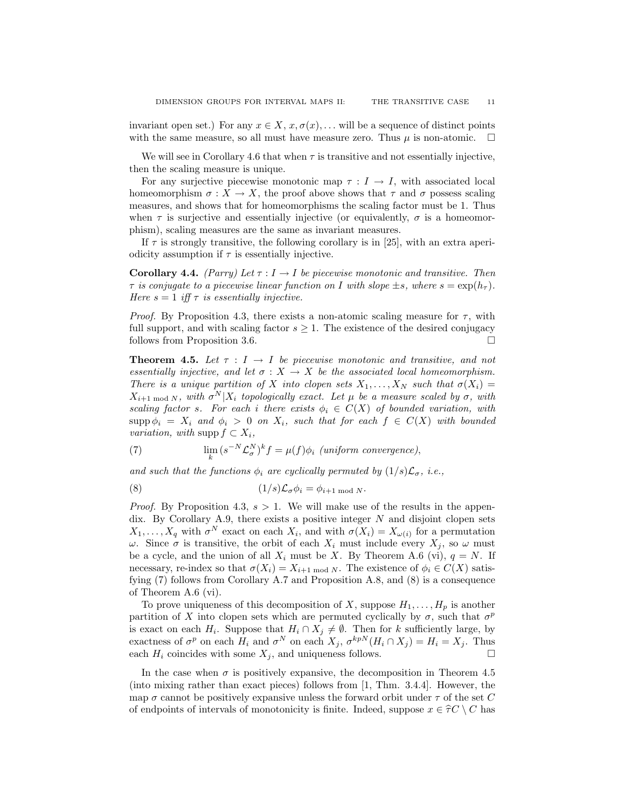invariant open set.) For any  $x \in X$ ,  $x, \sigma(x)$ ,... will be a sequence of distinct points with the same measure, so all must have measure zero. Thus  $\mu$  is non-atomic.  $\Box$ 

We will see in Corollary 4.6 that when  $\tau$  is transitive and not essentially injective, then the scaling measure is unique.

For any surjective piecewise monotonic map  $\tau : I \to I$ , with associated local homeomorphism  $\sigma: X \to X$ , the proof above shows that  $\tau$  and  $\sigma$  possess scaling measures, and shows that for homeomorphisms the scaling factor must be 1. Thus when  $\tau$  is surjective and essentially injective (or equivalently,  $\sigma$  is a homeomorphism), scaling measures are the same as invariant measures.

If  $\tau$  is strongly transitive, the following corollary is in [25], with an extra aperiodicity assumption if  $\tau$  is essentially injective.

**Corollary 4.4.** (Parry) Let  $\tau : I \to I$  be piecewise monotonic and transitive. Then  $\tau$  is conjugate to a piecewise linear function on I with slope  $\pm s$ , where  $s = \exp(h_\tau)$ . Here  $s = 1$  iff  $\tau$  is essentially injective.

*Proof.* By Proposition 4.3, there exists a non-atomic scaling measure for  $\tau$ , with full support, and with scaling factor  $s \geq 1$ . The existence of the desired conjugacy follows from Proposition 3.6.

**Theorem 4.5.** Let  $\tau : I \to I$  be piecewise monotonic and transitive, and not essentially injective, and let  $\sigma : X \to X$  be the associated local homeomorphism. There is a unique partition of X into clopen sets  $X_1, \ldots, X_N$  such that  $\sigma(X_i) =$  $X_{i+1 \mod N}$ , with  $\sigma^N | X_i$  topologically exact. Let  $\mu$  be a measure scaled by  $\sigma$ , with scaling factor s. For each i there exists  $\phi_i \in C(X)$  of bounded variation, with  $\text{supp }\phi_i = X_i$  and  $\phi_i > 0$  on  $X_i$ , such that for each  $f \in C(X)$  with bounded variation, with supp  $f \subset X_i$ ,

(7) 
$$
\lim_{k} (s^{-N} \mathcal{L}_{\sigma}^{N})^{k} f = \mu(f) \phi_{i} \text{ (uniform convergence)},
$$

and such that the functions  $\phi_i$  are cyclically permuted by  $(1/s)\mathcal{L}_{\sigma}$ , i.e.,

(8) 
$$
(1/s)\mathcal{L}_{\sigma}\phi_i = \phi_{i+1 \bmod N}.
$$

*Proof.* By Proposition 4.3,  $s > 1$ . We will make use of the results in the appendix. By Corollary A.9, there exists a positive integer  $N$  and disjoint clopen sets  $X_1, \ldots, X_q$  with  $\sigma^N$  exact on each  $X_i$ , and with  $\sigma(X_i) = X_{\omega(i)}$  for a permutation ω. Since σ is transitive, the orbit of each  $X_i$  must include every  $X_j$ , so ω must be a cycle, and the union of all  $X_i$  must be X. By Theorem A.6 (vi),  $q = N$ . If necessary, re-index so that  $\sigma(X_i) = X_{i+1 \mod N}$ . The existence of  $\phi_i \in C(X)$  satisfying (7) follows from Corollary A.7 and Proposition A.8, and (8) is a consequence of Theorem A.6 (vi).

To prove uniqueness of this decomposition of X, suppose  $H_1, \ldots, H_p$  is another partition of X into clopen sets which are permuted cyclically by  $\sigma$ , such that  $\sigma^p$ is exact on each  $H_i$ . Suppose that  $H_i \cap X_j \neq \emptyset$ . Then for k sufficiently large, by exactness of  $\sigma^p$  on each  $H_i$  and  $\sigma^N$  on each  $X_j$ ,  $\sigma^{kpN}(H_i \cap X_j) = H_i = X_j$ . Thus each  $H_i$  coincides with some  $X_j$ , and uniqueness follows.

In the case when  $\sigma$  is positively expansive, the decomposition in Theorem 4.5 (into mixing rather than exact pieces) follows from [1, Thm. 3.4.4]. However, the map  $\sigma$  cannot be positively expansive unless the forward orbit under  $\tau$  of the set C of endpoints of intervals of monotonicity is finite. Indeed, suppose  $x \in \hat{\tau}C \setminus C$  has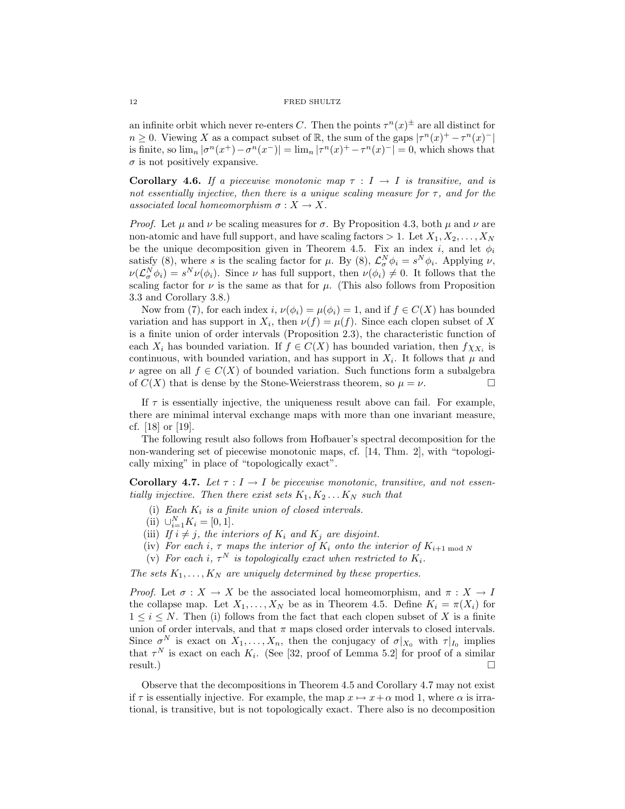an infinite orbit which never re-enters C. Then the points  $\tau^{n}(x)^{\pm}$  are all distinct for  $n \geq 0$ . Viewing X as a compact subset of R, the sum of the gaps  $|\tau^n(x)^+ - \tau^n(x)^-|$ is finite, so  $\lim_{n} |\sigma^n(x^+) - \sigma^n(x^-)| = \lim_{n} |\tau^n(x)^+ - \tau^n(x)^-| = 0$ , which shows that  $\sigma$  is not positively expansive.

**Corollary 4.6.** If a piecewise monotonic map  $\tau : I \to I$  is transitive, and is not essentially injective, then there is a unique scaling measure for  $\tau$ , and for the associated local homeomorphism  $\sigma: X \to X$ .

*Proof.* Let  $\mu$  and  $\nu$  be scaling measures for  $\sigma$ . By Proposition 4.3, both  $\mu$  and  $\nu$  are non-atomic and have full support, and have scaling factors  $> 1$ . Let  $X_1, X_2, \ldots, X_N$ be the unique decomposition given in Theorem 4.5. Fix an index i, and let  $\phi_i$ satisfy (8), where s is the scaling factor for  $\mu$ . By (8),  $\mathcal{L}_{\sigma}^{N} \phi_i = s^N \phi_i$ . Applying  $\nu$ ,  $\nu(\mathcal{L}_{\sigma}^{N}\phi_{i})=s^{N}\nu(\phi_{i}).$  Since  $\nu$  has full support, then  $\nu(\phi_{i})\neq 0$ . It follows that the scaling factor for  $\nu$  is the same as that for  $\mu$ . (This also follows from Proposition 3.3 and Corollary 3.8.)

Now from (7), for each index i,  $\nu(\phi_i) = \mu(\phi_i) = 1$ , and if  $f \in C(X)$  has bounded variation and has support in  $X_i$ , then  $\nu(f) = \mu(f)$ . Since each clopen subset of X is a finite union of order intervals (Proposition 2.3), the characteristic function of each  $X_i$  has bounded variation. If  $f \in C(X)$  has bounded variation, then  $f \chi_{X_i}$  is continuous, with bounded variation, and has support in  $X_i$ . It follows that  $\mu$  and  $\nu$  agree on all  $f \in C(X)$  of bounded variation. Such functions form a subalgebra of  $C(X)$  that is dense by the Stone-Weierstrass theorem, so  $\mu = \nu$ .

If  $\tau$  is essentially injective, the uniqueness result above can fail. For example, there are minimal interval exchange maps with more than one invariant measure, cf. [18] or [19].

The following result also follows from Hofbauer's spectral decomposition for the non-wandering set of piecewise monotonic maps, cf. [14, Thm. 2], with "topologically mixing" in place of "topologically exact".

**Corollary 4.7.** Let  $\tau : I \to I$  be piecewise monotonic, transitive, and not essentially injective. Then there exist sets  $K_1, K_2 \ldots K_N$  such that

- (i) Each  $K_i$  is a finite union of closed intervals.
- (ii)  $\cup_{i=1}^{N} K_i = [0, 1].$
- (iii) If  $i \neq j$ , the interiors of  $K_i$  and  $K_j$  are disjoint.
- (iv) For each i,  $\tau$  maps the interior of  $K_i$  onto the interior of  $K_{i+1 \mod N}$
- (v) For each i,  $\tau^N$  is topologically exact when restricted to  $K_i$ .

The sets  $K_1, \ldots, K_N$  are uniquely determined by these properties.

*Proof.* Let  $\sigma: X \to X$  be the associated local homeomorphism, and  $\pi: X \to I$ the collapse map. Let  $X_1, \ldots, X_N$  be as in Theorem 4.5. Define  $K_i = \pi(X_i)$  for  $1 \leq i \leq N$ . Then (i) follows from the fact that each clopen subset of X is a finite union of order intervals, and that  $\pi$  maps closed order intervals to closed intervals. Since  $\sigma^N$  is exact on  $X_1, \ldots, X_n$ , then the conjugacy of  $\sigma|_{X_0}$  with  $\tau|_{I_0}$  implies that  $\tau^N$  is exact on each  $K_i$ . (See [32, proof of Lemma 5.2] for proof of a similar result.)

Observe that the decompositions in Theorem 4.5 and Corollary 4.7 may not exist if  $\tau$  is essentially injective. For example, the map  $x \mapsto x+\alpha$  mod 1, where  $\alpha$  is irrational, is transitive, but is not topologically exact. There also is no decomposition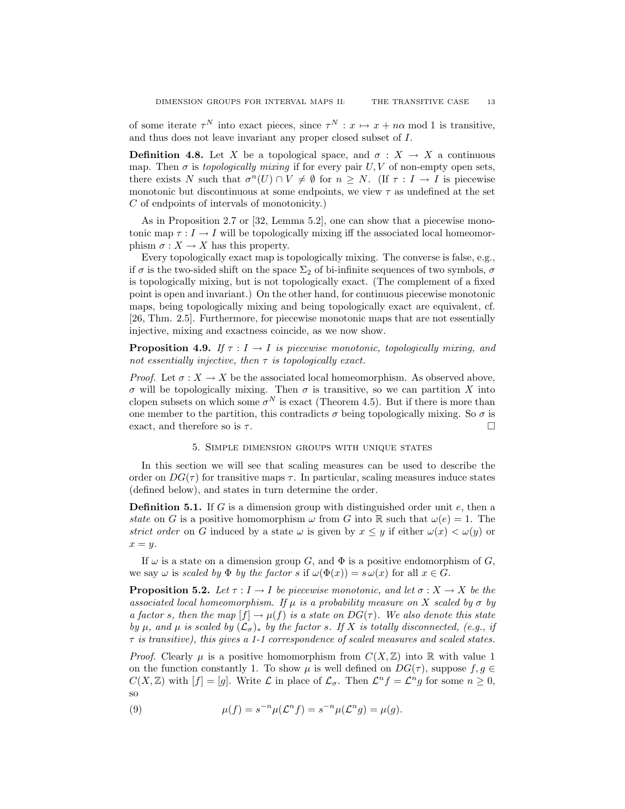of some iterate  $\tau^N$  into exact pieces, since  $\tau^N : x \mapsto x + n\alpha \mod 1$  is transitive, and thus does not leave invariant any proper closed subset of I.

**Definition 4.8.** Let X be a topological space, and  $\sigma : X \to X$  a continuous map. Then  $\sigma$  is *topologically mixing* if for every pair U, V of non-empty open sets, there exists N such that  $\sigma^{n}(U) \cap V \neq \emptyset$  for  $n \geq N$ . (If  $\tau : I \to I$  is piecewise monotonic but discontinuous at some endpoints, we view  $\tau$  as undefined at the set C of endpoints of intervals of monotonicity.)

As in Proposition 2.7 or [32, Lemma 5.2], one can show that a piecewise monotonic map  $\tau : I \to I$  will be topologically mixing iff the associated local homeomorphism  $\sigma: X \to X$  has this property.

Every topologically exact map is topologically mixing. The converse is false, e.g., if σ is the two-sided shift on the space  $\Sigma_2$  of bi-infinite sequences of two symbols, σ is topologically mixing, but is not topologically exact. (The complement of a fixed point is open and invariant.) On the other hand, for continuous piecewise monotonic maps, being topologically mixing and being topologically exact are equivalent, cf. [26, Thm. 2.5]. Furthermore, for piecewise monotonic maps that are not essentially injective, mixing and exactness coincide, as we now show.

**Proposition 4.9.** If  $\tau : I \to I$  is piecewise monotonic, topologically mixing, and not essentially injective, then  $\tau$  is topologically exact.

*Proof.* Let  $\sigma: X \to X$  be the associated local homeomorphism. As observed above, σ will be topologically mixing. Then σ is transitive, so we can partition X into clopen subsets on which some  $\sigma^N$  is exact (Theorem 4.5). But if there is more than one member to the partition, this contradicts  $\sigma$  being topologically mixing. So  $\sigma$  is exact, and therefore so is  $\tau$ .

### 5. Simple dimension groups with unique states

In this section we will see that scaling measures can be used to describe the order on  $DG(\tau)$  for transitive maps  $\tau$ . In particular, scaling measures induce states (defined below), and states in turn determine the order.

**Definition 5.1.** If G is a dimension group with distinguished order unit  $e$ , then a state on G is a positive homomorphism  $\omega$  from G into R such that  $\omega(e) = 1$ . The strict order on G induced by a state  $\omega$  is given by  $x \leq y$  if either  $\omega(x) < \omega(y)$  or  $x = y$ .

If  $\omega$  is a state on a dimension group G, and  $\Phi$  is a positive endomorphism of G, we say  $\omega$  is scaled by  $\Phi$  by the factor s if  $\omega(\Phi(x)) = s \omega(x)$  for all  $x \in G$ .

**Proposition 5.2.** Let  $\tau : I \to I$  be piecewise monotonic, and let  $\sigma : X \to X$  be the associated local homeomorphism. If  $\mu$  is a probability measure on X scaled by  $\sigma$  by a factor s, then the map  $[f] \to \mu(f)$  is a state on  $DG(\tau)$ . We also denote this state by  $\mu$ , and  $\mu$  is scaled by  $(\mathcal{L}_{\sigma})_*$  by the factor s. If X is totally disconnected, (e.g., if  $\tau$  is transitive), this gives a 1-1 correspondence of scaled measures and scaled states.

*Proof.* Clearly  $\mu$  is a positive homomorphism from  $C(X, \mathbb{Z})$  into R with value 1 on the function constantly 1. To show  $\mu$  is well defined on  $DG(\tau)$ , suppose  $f, g \in$  $C(X,\mathbb{Z})$  with  $[f] = [g]$ . Write  $\mathcal L$  in place of  $\mathcal L_{\sigma}$ . Then  $\mathcal L^n f = \mathcal L^n g$  for some  $n \geq 0$ , so

(9) 
$$
\mu(f) = s^{-n}\mu(\mathcal{L}^n f) = s^{-n}\mu(\mathcal{L}^n g) = \mu(g).
$$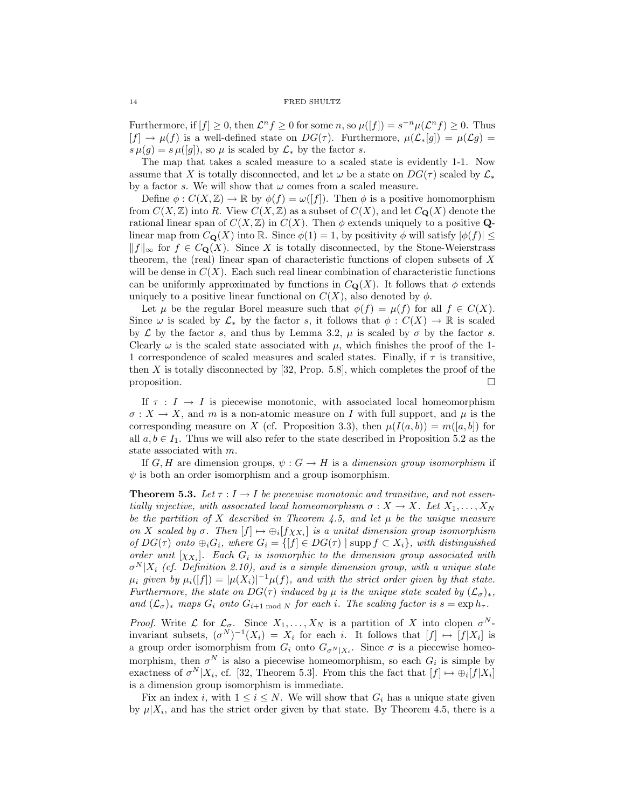Furthermore, if  $[f] \geq 0$ , then  $\mathcal{L}^n f \geq 0$  for some n, so  $\mu([f]) = s^{-n}\mu(\mathcal{L}^n f) \geq 0$ . Thus  $[f] \to \mu(f)$  is a well-defined state on  $DG(\tau)$ . Furthermore,  $\mu(\mathcal{L}_*[g]) = \mu(\mathcal{L}g)$  $s \mu(g) = s \mu([g]),$  so  $\mu$  is scaled by  $\mathcal{L}_*$  by the factor s.

The map that takes a scaled measure to a scaled state is evidently 1-1. Now assume that X is totally disconnected, and let  $\omega$  be a state on  $DG(\tau)$  scaled by  $\mathcal{L}_{*}$ by a factor s. We will show that  $\omega$  comes from a scaled measure.

Define  $\phi: C(X,\mathbb{Z}) \to \mathbb{R}$  by  $\phi(f) = \omega([f]).$  Then  $\phi$  is a positive homomorphism from  $C(X, \mathbb{Z})$  into R. View  $C(X, \mathbb{Z})$  as a subset of  $C(X)$ , and let  $C_{\mathbf{Q}}(X)$  denote the rational linear span of  $C(X, \mathbb{Z})$  in  $C(X)$ . Then  $\phi$  extends uniquely to a positive **Q**linear map from  $C_{\mathbf{Q}}(X)$  into  $\mathbb{R}$ . Since  $\phi(1) = 1$ , by positivity  $\phi$  will satisfy  $|\phi(f)| \le$  $||f||_{\infty}$  for  $f \in C_{\mathbf{Q}}(X)$ . Since X is totally disconnected, by the Stone-Weierstrass theorem, the (real) linear span of characteristic functions of clopen subsets of X will be dense in  $C(X)$ . Each such real linear combination of characteristic functions can be uniformly approximated by functions in  $C_{\mathbf{Q}}(X)$ . It follows that  $\phi$  extends uniquely to a positive linear functional on  $C(X)$ , also denoted by  $\phi$ .

Let  $\mu$  be the regular Borel measure such that  $\phi(f) = \mu(f)$  for all  $f \in C(X)$ . Since  $\omega$  is scaled by  $\mathcal{L}_*$  by the factor s, it follows that  $\phi: C(X) \to \mathbb{R}$  is scaled by  $\mathcal L$  by the factor s, and thus by Lemma 3.2,  $\mu$  is scaled by  $\sigma$  by the factor s. Clearly  $\omega$  is the scaled state associated with  $\mu$ , which finishes the proof of the 1-1 correspondence of scaled measures and scaled states. Finally, if  $\tau$  is transitive, then  $X$  is totally disconnected by [32, Prop. 5.8], which completes the proof of the proposition.  $\Box$ 

If  $\tau : I \to I$  is piecewise monotonic, with associated local homeomorphism  $\sigma: X \to X$ , and m is a non-atomic measure on I with full support, and  $\mu$  is the corresponding measure on X (cf. Proposition 3.3), then  $\mu(I(a, b)) = m([a, b])$  for all  $a, b \in I_1$ . Thus we will also refer to the state described in Proposition 5.2 as the state associated with m.

If G, H are dimension groups,  $\psi : G \to H$  is a dimension group isomorphism if  $\psi$  is both an order isomorphism and a group isomorphism.

**Theorem 5.3.** Let  $\tau : I \to I$  be piecewise monotonic and transitive, and not essentially injective, with associated local homeomorphism  $\sigma : X \to X$ . Let  $X_1, \ldots, X_N$ be the partition of X described in Theorem 4.5, and let  $\mu$  be the unique measure on X scaled by  $\sigma$ . Then  $[f] \mapsto \bigoplus_i [f \chi_{X_i}]$  is a unital dimension group isomorphism of  $DG(\tau)$  onto  $\bigoplus_i G_i$ , where  $G_i = \{[f] \in DG(\tau) \mid \text{supp } f \subset X_i\}$ , with distinguished order unit  $[\chi_{X_i}]$ . Each  $G_i$  is isomorphic to the dimension group associated with  $\sigma^N|X_i$  (cf. Definition 2.10), and is a simple dimension group, with a unique state  $\mu_i$  given by  $\mu_i([f]) = |\mu(X_i)|^{-1}\mu(f)$ , and with the strict order given by that state. Furthermore, the state on  $DG(\tau)$  induced by  $\mu$  is the unique state scaled by  $(\mathcal{L}_{\sigma})_*$ , and  $(\mathcal{L}_{\sigma})_*$  maps  $G_i$  onto  $G_{i+1 \mod N}$  for each i. The scaling factor is  $s = \exp h_{\tau}$ .

*Proof.* Write  $\mathcal L$  for  $\mathcal L_{\sigma}$ . Since  $X_1,\ldots,X_N$  is a partition of X into clopen  $\sigma^N$ invariant subsets,  $(\sigma^N)^{-1}(X_i) = X_i$  for each i. It follows that  $[f] \mapsto [f|X_i]$  is a group order isomorphism from  $G_i$  onto  $G_{\sigma^N | X_i}$ . Since  $\sigma$  is a piecewise homeomorphism, then  $\sigma^N$  is also a piecewise homeomorphism, so each  $G_i$  is simple by exactness of  $\sigma^N|X_i$ , cf. [32, Theorem 5.3]. From this the fact that  $[f] \mapsto \bigoplus_i [f|X_i]$ is a dimension group isomorphism is immediate.

Fix an index i, with  $1 \leq i \leq N$ . We will show that  $G_i$  has a unique state given by  $\mu|X_i$ , and has the strict order given by that state. By Theorem 4.5, there is a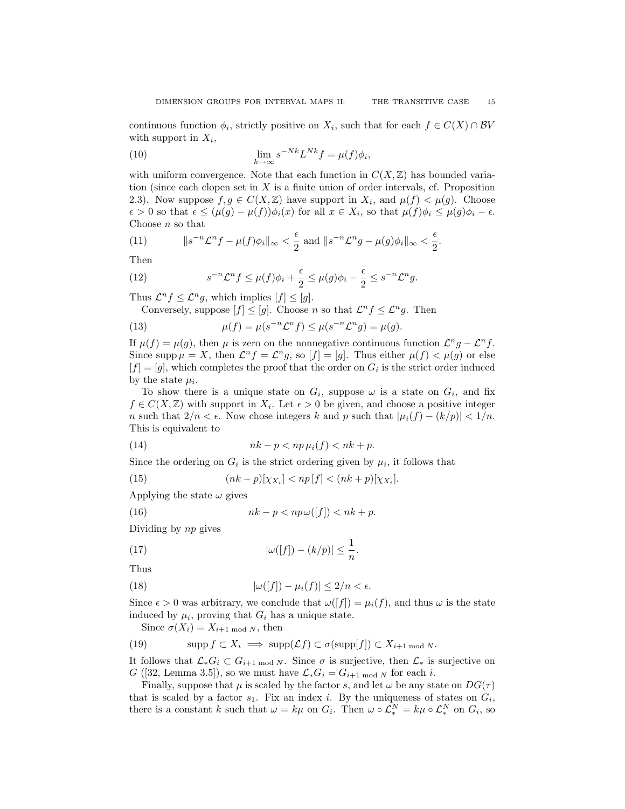continuous function  $\phi_i$ , strictly positive on  $X_i$ , such that for each  $f \in C(X) \cap BV$ with support in  $X_i$ ,

(10) 
$$
\lim_{k \to \infty} s^{-Nk} L^{Nk} f = \mu(f) \phi_i,
$$

with uniform convergence. Note that each function in  $C(X, \mathbb{Z})$  has bounded variation (since each clopen set in  $X$  is a finite union of order intervals, cf. Proposition 2.3). Now suppose  $f, g \in C(X, \mathbb{Z})$  have support in  $X_i$ , and  $\mu(f) < \mu(g)$ . Choose  $\epsilon > 0$  so that  $\epsilon \leq (\mu(g) - \mu(f))\phi_i(x)$  for all  $x \in X_i$ , so that  $\mu(f)\phi_i \leq \mu(g)\phi_i - \epsilon$ . Choose  $n$  so that

(11) 
$$
\|s^{-n}\mathcal{L}^n f - \mu(f)\phi_i\|_{\infty} < \frac{\epsilon}{2} \text{ and } \|s^{-n}\mathcal{L}^n g - \mu(g)\phi_i\|_{\infty} < \frac{\epsilon}{2}.
$$

Then

(12) 
$$
s^{-n} \mathcal{L}^n f \le \mu(f) \phi_i + \frac{\epsilon}{2} \le \mu(g) \phi_i - \frac{\epsilon}{2} \le s^{-n} \mathcal{L}^n g.
$$

Thus  $\mathcal{L}^n f \leq \mathcal{L}^n g$ , which implies  $[f] \leq [g]$ .

Conversely, suppose  $[f] \leq [g]$ . Choose *n* so that  $\mathcal{L}^n f \leq \mathcal{L}^n g$ . Then

(13) 
$$
\mu(f) = \mu(s^{-n} \mathcal{L}^n f) \le \mu(s^{-n} \mathcal{L}^n g) = \mu(g).
$$

If  $\mu(f) = \mu(g)$ , then  $\mu$  is zero on the nonnegative continuous function  $\mathcal{L}^n g - \mathcal{L}^n f$ . Since supp  $\mu = X$ , then  $\mathcal{L}^n f = \mathcal{L}^n g$ , so  $[f] = [g]$ . Thus either  $\mu(f) < \mu(g)$  or else  $[f] = [g]$ , which completes the proof that the order on  $G_i$  is the strict order induced by the state  $\mu_i$ .

To show there is a unique state on  $G_i$ , suppose  $\omega$  is a state on  $G_i$ , and fix  $f \in C(X, \mathbb{Z})$  with support in  $X_i$ . Let  $\epsilon > 0$  be given, and choose a positive integer n such that  $2/n < \epsilon$ . Now chose integers k and p such that  $|\mu_i(f) - (k/p)| < 1/n$ . This is equivalent to

(14) 
$$
nk - p < np\,\mu_i(f) < nk + p.
$$

Since the ordering on  $G_i$  is the strict ordering given by  $\mu_i$ , it follows that

(15) 
$$
(nk-p)[\chi_{X_i}] < np[f] < (nk+p)[\chi_{X_i}].
$$

Applying the state  $\omega$  gives

(16) 
$$
nk - p < np\,\omega([f]) < nk + p.
$$

Dividing by np gives

(17) 
$$
|\omega([f]) - (k/p)| \leq \frac{1}{n}.
$$

Thus

(18) 
$$
|\omega([f]) - \mu_i(f)| \le 2/n < \epsilon.
$$

Since  $\epsilon > 0$  was arbitrary, we conclude that  $\omega([f]) = \mu_i(f)$ , and thus  $\omega$  is the state induced by  $\mu_i$ , proving that  $G_i$  has a unique state.

Since  $\sigma(X_i) = X_{i+1 \mod N}$ , then

(19) 
$$
\mathrm{supp}\, f \subset X_i \implies \mathrm{supp}(\mathcal{L}f) \subset \sigma(\mathrm{supp}[f]) \subset X_{i+1 \mod N}.
$$

It follows that  $\mathcal{L}_*G_i \subset G_{i+1 \mod N}$ . Since  $\sigma$  is surjective, then  $\mathcal{L}_*$  is surjective on G ([32, Lemma 3.5]), so we must have  $\mathcal{L}_*G_i = G_{i+1 \mod N}$  for each i.

Finally, suppose that  $\mu$  is scaled by the factor s, and let  $\omega$  be any state on  $DG(\tau)$ that is scaled by a factor  $s_1$ . Fix an index i. By the uniqueness of states on  $G_i$ , there is a constant k such that  $\omega = k\mu$  on  $G_i$ . Then  $\omega \circ \mathcal{L}_*^N = k\mu \circ \mathcal{L}_*^N$  on  $G_i$ , so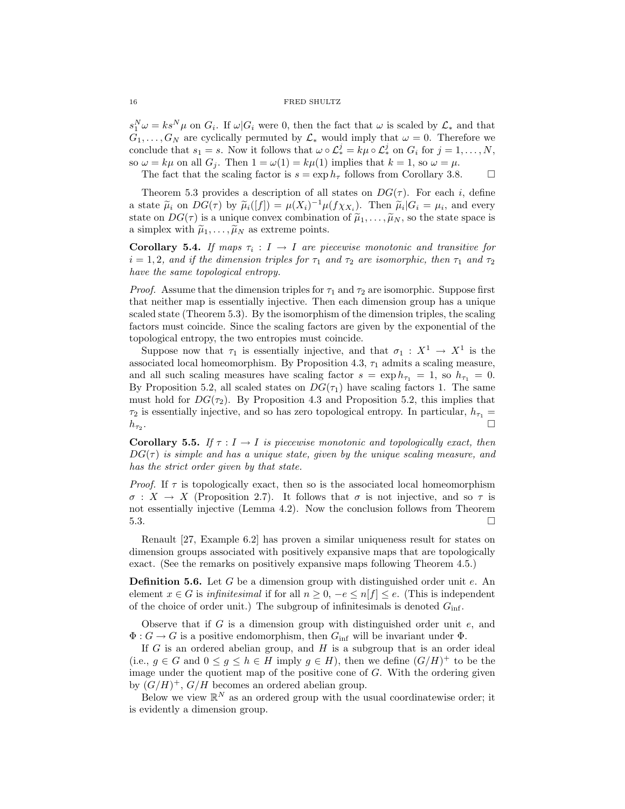$s_1^N \omega = k s^N \mu$  on  $G_i$ . If  $\omega | G_i$  were 0, then the fact that  $\omega$  is scaled by  $\mathcal{L}_*$  and that  $G_1, \ldots, G_N$  are cyclically permuted by  $\mathcal{L}_*$  would imply that  $\omega = 0$ . Therefore we conclude that  $s_1 = s$ . Now it follows that  $\omega \circ \mathcal{L}_*^j = k\mu \circ \mathcal{L}_*^j$  on  $G_i$  for  $j = 1, \ldots, N$ , so  $\omega = k\mu$  on all  $G_i$ . Then  $1 = \omega(1) = k\mu(1)$  implies that  $k = 1$ , so  $\omega = \mu$ .

The fact that the scaling factor is  $s = \exp h_{\tau}$  follows from Corollary 3.8.

Theorem 5.3 provides a description of all states on  $DG(\tau)$ . For each i, define a state  $\tilde{\mu}_i$  on  $DG(\tau)$  by  $\tilde{\mu}_i([f]) = \mu(X_i)^{-1}\mu(f\chi_{X_i})$ . Then  $\tilde{\mu}_i|G_i = \mu_i$ , and every state on  $DG(\tau)$  is a unique convex combination of  $\tilde{\mu}_1, \ldots, \tilde{\mu}_N$ , so the state space is a simplex with  $\tilde{\mu}_1, \ldots, \tilde{\mu}_N$  as extreme points.

**Corollary 5.4.** If maps  $\tau_i : I \to I$  are piecewise monotonic and transitive for  $i = 1, 2$ , and if the dimension triples for  $\tau_1$  and  $\tau_2$  are isomorphic, then  $\tau_1$  and  $\tau_2$ have the same topological entropy.

*Proof.* Assume that the dimension triples for  $\tau_1$  and  $\tau_2$  are isomorphic. Suppose first that neither map is essentially injective. Then each dimension group has a unique scaled state (Theorem 5.3). By the isomorphism of the dimension triples, the scaling factors must coincide. Since the scaling factors are given by the exponential of the topological entropy, the two entropies must coincide.

Suppose now that  $\tau_1$  is essentially injective, and that  $\sigma_1: X^1 \to X^1$  is the associated local homeomorphism. By Proposition 4.3,  $\tau_1$  admits a scaling measure, and all such scaling measures have scaling factor  $s = \exp h_{\tau_1} = 1$ , so  $h_{\tau_1} = 0$ . By Proposition 5.2, all scaled states on  $DG(\tau_1)$  have scaling factors 1. The same must hold for  $DG(\tau_2)$ . By Proposition 4.3 and Proposition 5.2, this implies that  $\tau_2$  is essentially injective, and so has zero topological entropy. In particular,  $h_{\tau_1} =$  $h_{\tau_2}$ . .

**Corollary 5.5.** If  $\tau : I \to I$  is piecewise monotonic and topologically exact, then  $DG(\tau)$  is simple and has a unique state, given by the unique scaling measure, and has the strict order given by that state.

*Proof.* If  $\tau$  is topologically exact, then so is the associated local homeomorphism  $\sigma : X \to X$  (Proposition 2.7). It follows that  $\sigma$  is not injective, and so  $\tau$  is not essentially injective (Lemma 4.2). Now the conclusion follows from Theorem **5.3.** □

Renault [27, Example 6.2] has proven a similar uniqueness result for states on dimension groups associated with positively expansive maps that are topologically exact. (See the remarks on positively expansive maps following Theorem 4.5.)

**Definition 5.6.** Let G be a dimension group with distinguished order unit  $e$ . An element  $x \in G$  is infinitesimal if for all  $n \geq 0, -e \leq n[f] \leq e$ . (This is independent of the choice of order unit.) The subgroup of infinitesimals is denoted  $G_{\text{inf}}$ .

Observe that if  $G$  is a dimension group with distinguished order unit  $e$ , and  $\Phi: G \to G$  is a positive endomorphism, then  $G_{\text{inf}}$  will be invariant under  $\Phi$ .

If  $G$  is an ordered abelian group, and  $H$  is a subgroup that is an order ideal (i.e.,  $g \in G$  and  $0 \le g \le h \in H$  imply  $g \in H$ ), then we define  $(G/H)^+$  to be the image under the quotient map of the positive cone of  $G$ . With the ordering given by  $(G/H)^+$ ,  $G/H$  becomes an ordered abelian group.

Below we view  $\mathbb{R}^N$  as an ordered group with the usual coordinatewise order; it is evidently a dimension group.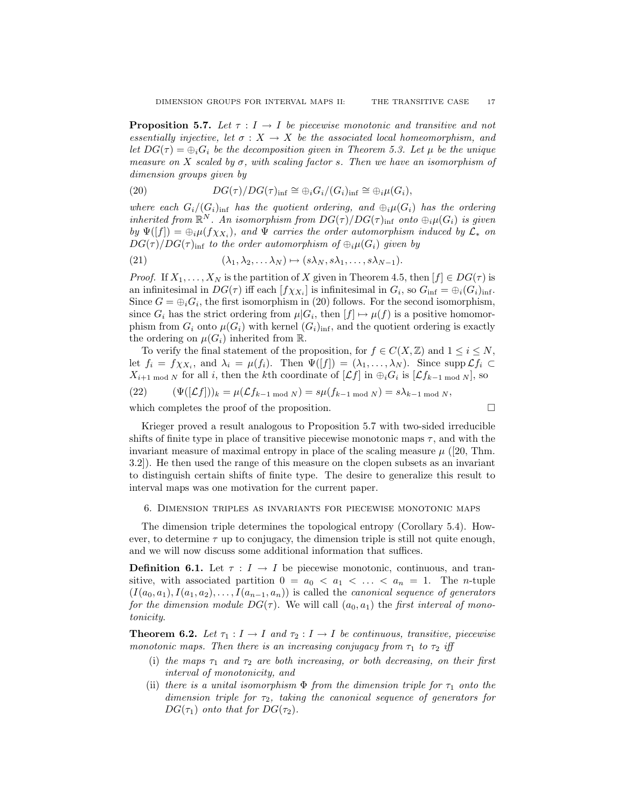**Proposition 5.7.** Let  $\tau : I \to I$  be piecewise monotonic and transitive and not essentially injective, let  $\sigma : X \to X$  be the associated local homeomorphism, and let  $DG(\tau) = \bigoplus_i G_i$  be the decomposition given in Theorem 5.3. Let  $\mu$  be the unique measure on X scaled by  $\sigma$ , with scaling factor s. Then we have an isomorphism of dimension groups given by

(20) 
$$
DG(\tau)/DG(\tau)_{\inf} \cong \bigoplus_i G_i/(G_i)_{\inf} \cong \bigoplus_i \mu(G_i),
$$

where each  $G_i/(G_i)_{\text{inf}}$  has the quotient ordering, and  $\oplus_i \mu(G_i)$  has the ordering inherited from  $\mathbb{R}^N$ . An isomorphism from  $DG(\tau)/DG(\tau)_{\inf}$  onto  $\bigoplus_i \mu(G_i)$  is given by  $\Psi([f]) = \bigoplus_i \mu(f\chi_{X_i})$ , and  $\Psi$  carries the order automorphism induced by  $\mathcal{L}_*$  on  $DG(\tau)/DG(\tau)_{\text{inf}}$  to the order automorphism of  $\bigoplus_i \mu(G_i)$  given by

(21)  $(\lambda_1, \lambda_2, \ldots, \lambda_N) \mapsto (s\lambda_N, s\lambda_1, \ldots, s\lambda_{N-1}).$ 

*Proof.* If  $X_1, \ldots, X_N$  is the partition of X given in Theorem 4.5, then  $[f] \in DG(\tau)$  is an infinitesimal in  $DG(\tau)$  iff each  $[f\chi_{X_i}]$  is infinitesimal in  $G_i$ , so  $G_{\text{inf}} = \bigoplus_i (G_i)_{\text{inf}}$ . Since  $G = \bigoplus_i G_i$ , the first isomorphism in (20) follows. For the second isomorphism, since  $G_i$  has the strict ordering from  $\mu|G_i$ , then  $[f] \mapsto \mu(f)$  is a positive homomorphism from  $G_i$  onto  $\mu(G_i)$  with kernel  $(G_i)_{\text{inf}}$ , and the quotient ordering is exactly the ordering on  $\mu(G_i)$  inherited from R.

To verify the final statement of the proposition, for  $f \in C(X, \mathbb{Z})$  and  $1 \leq i \leq N$ , let  $f_i = f \chi_{X_i}$ , and  $\lambda_i = \mu(f_i)$ . Then  $\Psi([f]) = (\lambda_1, \ldots, \lambda_N)$ . Since supp  $\mathcal{L} f_i \subset$  $X_{i+1 \mod N}$  for all i, then the kth coordinate of  $[\mathcal{L}f]$  in  $\bigoplus_i G_i$  is  $[\mathcal{L}f_{k-1 \mod N}]$ , so

(22) 
$$
(\Psi([\mathcal{L}f]))_k = \mu(\mathcal{L}f_{k-1 \bmod N}) = s\mu(f_{k-1 \bmod N}) = s\lambda_{k-1 \bmod N},
$$

which completes the proof of the proposition.  $\Box$ 

Krieger proved a result analogous to Proposition 5.7 with two-sided irreducible shifts of finite type in place of transitive piecewise monotonic maps 
$$
\tau
$$
, and with the invariant measure of maximal entropy in place of the scaling measure  $\mu$  ([20, Thm.

3.2]). He then used the range of this measure on the clopen subsets as an invariant to distinguish certain shifts of finite type. The desire to generalize this result to interval maps was one motivation for the current paper.

### 6. Dimension triples as invariants for piecewise monotonic maps

The dimension triple determines the topological entropy (Corollary 5.4). However, to determine  $\tau$  up to conjugacy, the dimension triple is still not quite enough, and we will now discuss some additional information that suffices.

**Definition 6.1.** Let  $\tau: I \to I$  be piecewise monotonic, continuous, and transitive, with associated partition  $0 = a_0 < a_1 < \ldots < a_n = 1$ . The *n*-tuple  $(I(a_0, a_1), I(a_1, a_2), \ldots, I(a_{n-1}, a_n))$  is called the *canonical sequence of generators* for the dimension module  $DG(\tau)$ . We will call  $(a_0, a_1)$  the first interval of monotonicity.

**Theorem 6.2.** Let  $\tau_1 : I \to I$  and  $\tau_2 : I \to I$  be continuous, transitive, piecewise monotonic maps. Then there is an increasing conjugacy from  $\tau_1$  to  $\tau_2$  iff

- (i) the maps  $\tau_1$  and  $\tau_2$  are both increasing, or both decreasing, on their first interval of monotonicity, and
- (ii) there is a unital isomorphism  $\Phi$  from the dimension triple for  $\tau_1$  onto the dimension triple for  $\tau_2$ , taking the canonical sequence of generators for  $DG(\tau_1)$  onto that for  $DG(\tau_2)$ .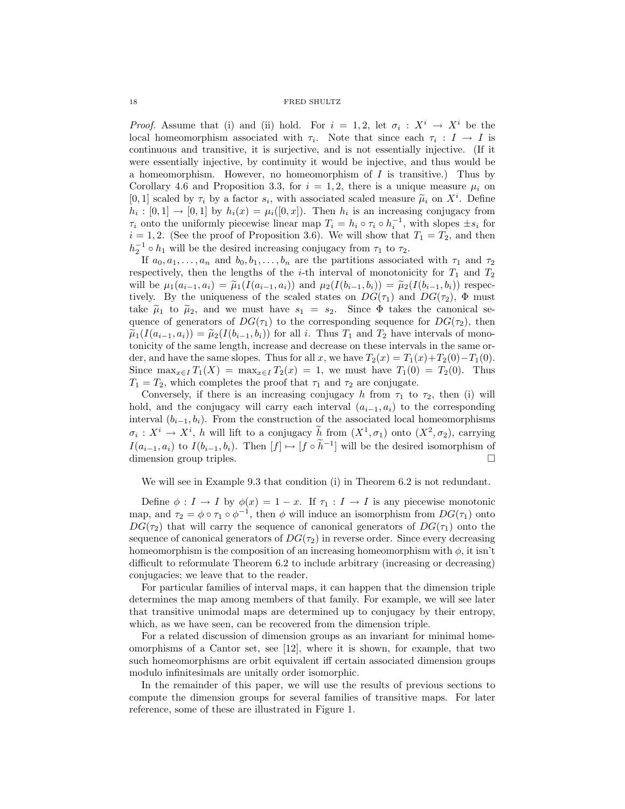*Proof.* Assume that (i) and (ii) hold. For  $i = 1, 2$ , let  $\sigma_i : X^i \to X^i$  be the local homeomorphism associated with  $\tau_i$ . Note that since each  $\tau_i : I \to I$  is continuous and transitive, it is surjective, and is not essentially injective. (If it were essentially injective, by continuity it would be injective, and thus would be a homeomorphism. However, no homeomorphism of  $I$  is transitive.) Thus by Corollary 4.6 and Proposition 3.3, for  $i = 1, 2$ , there is a unique measure  $\mu_i$  on [0, 1] scaled by  $\tau_i$  by a factor  $s_i$ , with associated scaled measure  $\tilde{\mu}_i$  on  $X^i$ . Define  $h_i : [0, 1] \rightarrow [0, 1]$  by  $h_i(x) = \mu_i([0, x])$ . Then  $h_i$  is an increasing conjugacy from  $h_i: [0,1] \to [0,1]$  by  $h_i(x) = \mu_i([0,x])$ . Then  $h_i$  is an increasing conjugacy from  $\tau_i$  onto the uniformly piecewise linear map  $T_i = h_i \circ \tau_i \circ h_i^{-1}$ , with slopes  $\pm s_i$  for  $i = 1, 2$ . (See the proof of Proposition 3.6). We will show that  $T_1 = T_2$ , and then  $h_2^{-1} \circ h_1$  will be the desired increasing conjugacy from  $\tau_1$  to  $\tau_2$ .

If  $a_0, a_1, \ldots, a_n$  and  $b_0, b_1, \ldots, b_n$  are the partitions associated with  $\tau_1$  and  $\tau_2$ respectively, then the lengths of the *i*-th interval of monotonicity for  $T_1$  and  $T_2$ will be  $\mu_1(a_{i-1}, a_i) = \tilde{\mu}_1(I(a_{i-1}, a_i))$  and  $\mu_2(I(b_{i-1}, b_i)) = \tilde{\mu}_2(I(b_{i-1}, b_i))$  respectively. By the uniqueness of the scaled states on  $DG(\tau_1)$  and  $DG(\tau_2)$ ,  $\Phi$  must take  $\tilde{\mu}_1$  to  $\tilde{\mu}_2$ , and we must have  $s_1 = s_2$ . Since  $\Phi$  takes the canonical sequence of generators of  $DG(\tau_1)$  to the corresponding sequence for  $DG(\tau_2)$ , then  $\widetilde{\mu}_1(I(a_{i-1}, a_i)) = \widetilde{\mu}_2(I(b_{i-1}, b_i))$  for all i. Thus  $T_1$  and  $T_2$  have intervals of monotonicity of the same length, increase and decrease on these intervals in the same order, and have the same slopes. Thus for all x, we have  $T_2(x) = T_1(x) + T_2(0) - T_1(0)$ . Since  $\max_{x \in I} T_1(X) = \max_{x \in I} T_2(x) = 1$ , we must have  $T_1(0) = T_2(0)$ . Thus  $T_1 = T_2$ , which completes the proof that  $\tau_1$  and  $\tau_2$  are conjugate.

Conversely, if there is an increasing conjugacy h from  $\tau_1$  to  $\tau_2$ , then (i) will hold, and the conjugacy will carry each interval  $(a_{i-1}, a_i)$  to the corresponding interval  $(b_{i-1}, b_i)$ . From the construction of the associated local homeomorphisms  $\sigma_i: X^i \to X^i$ , h will lift to a conjugacy h from  $(X^1, \sigma_1)$  onto  $(X^2, \sigma_2)$ , carrying  $I(a_{i-1}, a_i)$  to  $I(b_{i-1}, b_i)$ . Then  $[f] \mapsto [f \circ \tilde{h}^{-1}]$  will be the desired isomorphism of dimension group triples.

We will see in Example 9.3 that condition (i) in Theorem 6.2 is not redundant.

Define  $\phi: I \to I$  by  $\phi(x) = 1 - x$ . If  $\tau_1: I \to I$  is any piecewise monotonic map, and  $\tau_2 = \phi \circ \tau_1 \circ \phi^{-1}$ , then  $\phi$  will induce an isomorphism from  $DG(\tau_1)$  onto  $DG(\tau_2)$  that will carry the sequence of canonical generators of  $DG(\tau_1)$  onto the sequence of canonical generators of  $DG(\tau_2)$  in reverse order. Since every decreasing homeomorphism is the composition of an increasing homeomorphism with  $\phi$ , it isn't difficult to reformulate Theorem 6.2 to include arbitrary (increasing or decreasing) conjugacies; we leave that to the reader.

For particular families of interval maps, it can happen that the dimension triple determines the map among members of that family. For example, we will see later that transitive unimodal maps are determined up to conjugacy by their entropy, which, as we have seen, can be recovered from the dimension triple.

For a related discussion of dimension groups as an invariant for minimal homeomorphisms of a Cantor set, see [12], where it is shown, for example, that two such homeomorphisms are orbit equivalent iff certain associated dimension groups modulo infinitesimals are unitally order isomorphic.

In the remainder of this paper, we will use the results of previous sections to compute the dimension groups for several families of transitive maps. For later reference, some of these are illustrated in Figure 1.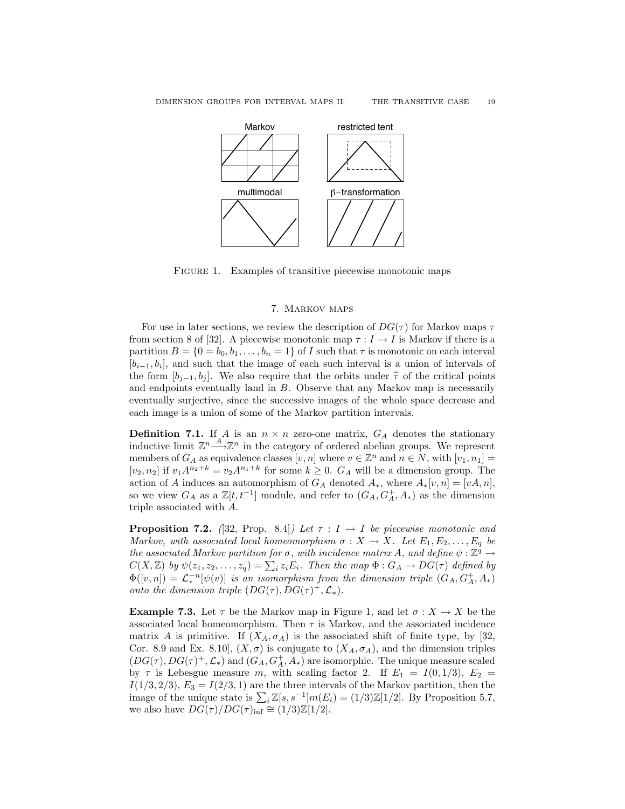

FIGURE 1. Examples of transitive piecewise monotonic maps

## 7. Markov maps

For use in later sections, we review the description of  $DG(\tau)$  for Markov maps  $\tau$ from section 8 of [32]. A piecewise monotonic map  $\tau : I \to I$  is Markov if there is a partition  $B = \{0 = b_0, b_1, \ldots, b_n = 1\}$  of I such that  $\tau$  is monotonic on each interval  $[b_{i-1}, b_i]$ , and such that the image of each such interval is a union of intervals of the form  $[b_{j-1}, b_j]$ . We also require that the orbits under  $\hat{\tau}$  of the critical points and endpoints eventually land in  $B$ . Observe that any Markov map is necessarily eventually surjective, since the successive images of the whole space decrease and each image is a union of some of the Markov partition intervals.

**Definition 7.1.** If A is an  $n \times n$  zero-one matrix,  $G_A$  denotes the stationary inductive limit  $\mathbb{Z}^n \longrightarrow \mathbb{Z}^n$  in the category of ordered abelian groups. We represent members of  $G_A$  as equivalence classes  $[v, n]$  where  $v \in \mathbb{Z}^n$  and  $n \in \mathbb{N}$ , with  $[v_1, n_1] =$  $[v_2, n_2]$  if  $v_1 A^{n_2+k} = v_2 A^{n_1+k}$  for some  $k \geq 0$ .  $G_A$  will be a dimension group. The action of A induces an automorphism of  $G_A$  denoted  $A_*$ , where  $A_*[v, n] = [vA, n]$ , so we view  $G_A$  as a  $\mathbb{Z}[t, t^{-1}]$  module, and refer to  $(G_A, G_A^+, A_*)$  as the dimension triple associated with A.

**Proposition 7.2.** ([32, Prop. 8.4]) Let  $\tau : I \rightarrow I$  be piecewise monotonic and Markov, with associated local homeomorphism  $\sigma : X \to X$ . Let  $E_1, E_2, \ldots, E_q$  be the associated Markov partition for  $\sigma$ , with incidence matrix A, and define  $\psi : \mathbb{Z}^{\hat{q}} \to$  $C(X,\mathbb{Z})$  by  $\psi(z_1,z_2,\ldots,z_q)=\sum_iz_iE_i$ . Then the map  $\Phi:G_A\to DG(\tau)$  defined by  $\Phi([v,n]) = \mathcal{L}_*^{-n}[\psi(v)]$  is an isomorphism from the dimension triple  $(G_A, G_A^+, A_*)$ onto the dimension triple  $(DG(\tau), DG(\tau)^+, \mathcal{L}_*).$ 

**Example 7.3.** Let  $\tau$  be the Markov map in Figure 1, and let  $\sigma : X \to X$  be the associated local homeomorphism. Then  $\tau$  is Markov, and the associated incidence matrix A is primitive. If  $(X_A, \sigma_A)$  is the associated shift of finite type, by [32, Cor. 8.9 and Ex. 8.10],  $(X, \sigma)$  is conjugate to  $(X_A, \sigma_A)$ , and the dimension triples  $(DG(\tau), DG(\tau)^+, \mathcal{L}_*)$  and  $(G_A, G_A^+, A_*)$  are isomorphic. The unique measure scaled by  $\tau$  is Lebesgue measure m, with scaling factor 2. If  $E_1 = I(0, 1/3), E_2 =$  $I(1/3, 2/3), E_3 = I(2/3, 1)$  are the three intervals of the Markov partition, then the image of the unique state is  $\sum_i \mathbb{Z}[s, s^{-1}]m(E_i) = (1/3)\mathbb{Z}[1/2]$ . By Proposition 5.7, we also have  $DG(\tau)/DG(\tau)_{\text{inf}} \cong (1/3)\mathbb{Z}[1/2]$ .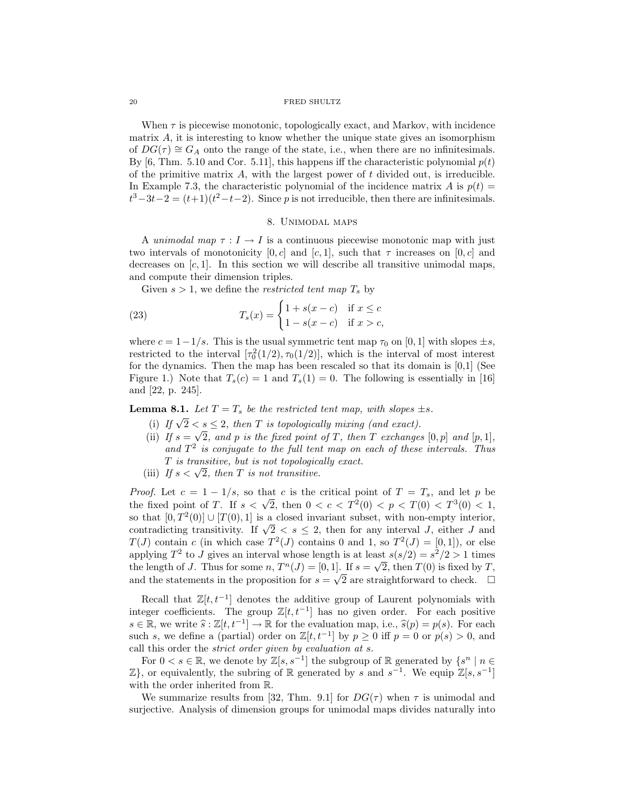When  $\tau$  is piecewise monotonic, topologically exact, and Markov, with incidence matrix  $A$ , it is interesting to know whether the unique state gives an isomorphism of  $DG(\tau) \cong G_A$  onto the range of the state, i.e., when there are no infinitesimals. By [6, Thm. 5.10 and Cor. 5.11], this happens iff the characteristic polynomial  $p(t)$ of the primitive matrix  $A$ , with the largest power of  $t$  divided out, is irreducible. In Example 7.3, the characteristic polynomial of the incidence matrix A is  $p(t) =$  $t^3-3t-2 = (t+1)(t^2-t-2)$ . Since p is not irreducible, then there are infinitesimals.

## 8. Unimodal maps

A unimodal map  $\tau : I \to I$  is a continuous piecewise monotonic map with just two intervals of monotonicity  $[0, c]$  and  $[c, 1]$ , such that  $\tau$  increases on  $[0, c]$  and decreases on  $[c, 1]$ . In this section we will describe all transitive unimodal maps, and compute their dimension triples.

Given  $s > 1$ , we define the *restricted tent map*  $T_s$  by

(23) 
$$
T_s(x) = \begin{cases} 1 + s(x - c) & \text{if } x \le c \\ 1 - s(x - c) & \text{if } x > c, \end{cases}
$$

where  $c = 1-1/s$ . This is the usual symmetric tent map  $\tau_0$  on [0, 1] with slopes  $\pm s$ , restricted to the interval  $[\tau_0^2(1/2), \tau_0(1/2)]$ , which is the interval of most interest for the dynamics. Then the map has been rescaled so that its domain is [0,1] (See Figure 1.) Note that  $T_s(c) = 1$  and  $T_s(1) = 0$ . The following is essentially in [16] and [22, p. 245].

**Lemma 8.1.** Let  $T = T_s$  be the restricted tent map, with slopes  $\pm s$ .

- (i) If  $\sqrt{2} < s \leq 2$ , then T is topologically mixing (and exact).
- (ii) If  $s = \sqrt{2}$ , and p is the fixed point of T, then T exchanges  $[0, p]$  and  $[p, 1]$ , and  $T^2$  is conjugate to the full tent map on each of these intervals. Thus T is transitive, but is not topologically exact.
- *I* is transitive, but is not topologically in  $If s < \sqrt{2}$ , then  $T$  is not transitive.

*Proof.* Let  $c = 1 - 1/s$ , so that c is the critical point of  $T = T_s$ , and let p be *troof.* Let  $c = 1 - 1/s$ , so that c is the critical point of  $T = T_s$ , and let p be the fixed point of T. If  $s < \sqrt{2}$ , then  $0 < c < T^2(0) < p < T(0) < T^3(0) < 1$ , so that  $[0, T^2(0)] \cup [T(0), 1]$  is a closed invariant subset, with non-empty interior, so that  $[0, I_-(0)] \cup [I_-(0), I]$  is a closed invariant subset, with non-empty intervol,<br>contradicting transitivity. If  $\sqrt{2} < s \leq 2$ , then for any interval J, either J and  $T(J)$  contain c (in which case  $T^2(J)$  contains 0 and 1, so  $T^2(J) = [0,1]$ ), or else applying  $T^2$  to J gives an interval whose length is at least  $s(s/2) = s^2/2 > 1$  times the length of J. Thus for some  $n, T^n(J) = [0, 1]$ . If  $s = \sqrt{2}$ , then  $T(0)$  is fixed by  $T$ , and the statements in the proposition for  $s = \sqrt{2}$  are straightforward to check.  $\Box$ 

Recall that  $\mathbb{Z}[t, t^{-1}]$  denotes the additive group of Laurent polynomials with integer coefficients. The group  $\mathbb{Z}[t, t^{-1}]$  has no given order. For each positive  $s \in \mathbb{R}$ , we write  $\hat{s} : \mathbb{Z}[t, t^{-1}] \to \mathbb{R}$  for the evaluation map, i.e.,  $\hat{s}(p) = p(s)$ . For each such s, we define a (partial) order on  $\mathbb{Z}[t, t^{-1}]$  by  $p \geq 0$  iff  $p = 0$  or  $p(s) > 0$ , and call this order the strict order given by evaluation at s.

For  $0 < s \in \mathbb{R}$ , we denote by  $\mathbb{Z}[s, s^{-1}]$  the subgroup of  $\mathbb{R}$  generated by  $\{s^n \mid n \in \mathbb{R}\}$  $\mathbb{Z}$ , or equivalently, the subring of R generated by s and s<sup>-1</sup>. We equip  $\mathbb{Z}[s, s^{-1}]$ with the order inherited from R.

We summarize results from [32, Thm. 9.1] for  $DG(\tau)$  when  $\tau$  is unimodal and surjective. Analysis of dimension groups for unimodal maps divides naturally into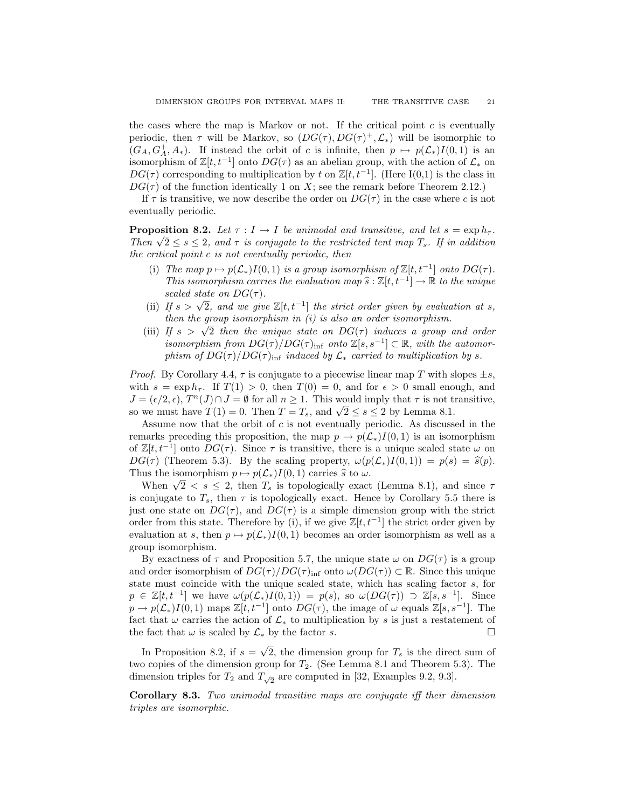the cases where the map is Markov or not. If the critical point  $c$  is eventually periodic, then  $\tau$  will be Markov, so  $(DG(\tau), DG(\tau)^+, \mathcal{L}_*)$  will be isomorphic to  $(G_A, G_A^+, A_*)$ . If instead the orbit of c is infinite, then  $p \mapsto p(\mathcal{L}_*)I(0, 1)$  is an isomorphism of  $\mathbb{Z}[t, t^{-1}]$  onto  $DG(\tau)$  as an abelian group, with the action of  $\mathcal{L}_{*}$  on  $DG(\tau)$  corresponding to multiplication by t on  $\mathbb{Z}[t, t^{-1}]$ . (Here I(0,1) is the class in  $DG(\tau)$  of the function identically 1 on X; see the remark before Theorem 2.12.)

If  $\tau$  is transitive, we now describe the order on  $DG(\tau)$  in the case where c is not eventually periodic.

**Proposition 8.2.** Let  $\tau : I \to I$  be unimodal and transitive, and let  $s = \exp h_{\tau}$ . **Proposition 8.2.** Let  $\tau : I \to I$  be unimodal and transitive, and let  $s = \exp n_{\tau}$ .<br>Then  $\sqrt{2} \le s \le 2$ , and  $\tau$  is conjugate to the restricted tent map  $T_s$ . If in addition the critical point c is not eventually periodic, then

- (i) The map  $p \mapsto p(\mathcal{L}_*)I(0,1)$  is a group isomorphism of  $\mathbb{Z}[t, t^{-1}]$  onto  $DG(\tau)$ . This isomorphism carries the evaluation map  $\widehat{s} : \mathbb{Z}[t, t^{-1}] \to \mathbb{R}$  to the unique scaled state on  $DC(\tau)$ scaled state on  $DG(\tau)$ .
- (ii) If  $s > \sqrt{2}$ , and we give  $\mathbb{Z}[t, t^{-1}]$  the strict order given by evaluation at s, then the group isomorphism in (i) is also an order isomorphism.
- then the group isomorphism in (i) is also an order isomorphism.<br>(iii) If  $s > \sqrt{2}$  then the unique state on  $DG(\tau)$  induces a group and order isomorphism from  $DG(\tau)/DG(\tau)_{\inf}$  onto  $\mathbb{Z}[s,s^{-1}] \subset \mathbb{R}$ , with the automorphism of  $DG(\tau)/DG(\tau)_{\text{inf}}$  induced by  $\mathcal{L}_{*}$  carried to multiplication by s.

*Proof.* By Corollary 4.4,  $\tau$  is conjugate to a piecewise linear map T with slopes  $\pm s$ , with  $s = \exp h_{\tau}$ . If  $T(1) > 0$ , then  $T(0) = 0$ , and for  $\epsilon > 0$  small enough, and  $J = (\epsilon/2, \epsilon), T^{n}(J) \cap J = \emptyset$  for all  $n \geq 1$ . This would imply that  $\tau$  is not transitive,  $s = (\epsilon/2, \epsilon), T^*(J) \cap J = \emptyset$  for an  $n \ge 1$ . This would imply that  $\tau$  is not to so we must have  $T(1) = 0$ . Then  $T = T_s$ , and  $\sqrt{2} \le s \le 2$  by Lemma 8.1.

Assume now that the orbit of  $c$  is not eventually periodic. As discussed in the remarks preceding this proposition, the map  $p \to p(\mathcal{L}_*)I(0, 1)$  is an isomorphism of  $\mathbb{Z}[t, t^{-1}]$  onto  $DG(\tau)$ . Since  $\tau$  is transitive, there is a unique scaled state  $\omega$  on  $DG(\tau)$  (Theorem 5.3). By the scaling property,  $\omega(p(\mathcal{L}_*)I(0,1)) = p(s) = \hat{s}(p)$ . Thus the isomorphism  $p \mapsto p(\mathcal{L}_*)I(0, 1)$  carries  $\hat{s}$  to  $\omega$ .

When  $\sqrt{2} < s \leq 2$ , then  $T_s$  is topologically exact (Lemma 8.1), and since  $\tau$ is conjugate to  $T_s$ , then  $\tau$  is topologically exact. Hence by Corollary 5.5 there is just one state on  $DG(\tau)$ , and  $DG(\tau)$  is a simple dimension group with the strict order from this state. Therefore by (i), if we give  $\mathbb{Z}[t, t^{-1}]$  the strict order given by evaluation at s, then  $p \mapsto p(\mathcal{L}_*)I(0, 1)$  becomes an order isomorphism as well as a group isomorphism.

By exactness of  $\tau$  and Proposition 5.7, the unique state  $\omega$  on  $DG(\tau)$  is a group and order isomorphism of  $DG(\tau)/DG(\tau)_{\text{inf}}$  onto  $\omega(DG(\tau)) \subset \mathbb{R}$ . Since this unique state must coincide with the unique scaled state, which has scaling factor s, for  $p \in \mathbb{Z}[t, t^{-1}]$  we have  $\omega(p(\mathcal{L}_*)I(0, 1)) = p(s)$ , so  $\omega(DG(\tau)) \supset \mathbb{Z}[s, s^{-1}]$ . Since  $p \to p(\mathcal{L}_*) I(0,1)$  maps  $\mathbb{Z}[t,t^{-1}]$  onto  $DG(\tau)$ , the image of  $\omega$  equals  $\mathbb{Z}[s,s^{-1}]$ . The fact that  $\omega$  carries the action of  $\mathcal{L}_{*}$  to multiplication by s is just a restatement of the fact that  $\omega$  is scaled by  $\mathcal{L}_*$  by the factor s.

In Proposition 8.2, if  $s =$ √ 2, the dimension group for  $T_s$  is the direct sum of two copies of the dimension group for  $T_2$ . (See Lemma 8.1 and Theorem 5.3). The dimension triples for  $T_2$  and  $T_{\sqrt{2}}$  are computed in [32, Examples 9.2, 9.3].

Corollary 8.3. Two unimodal transitive maps are conjugate iff their dimension triples are isomorphic.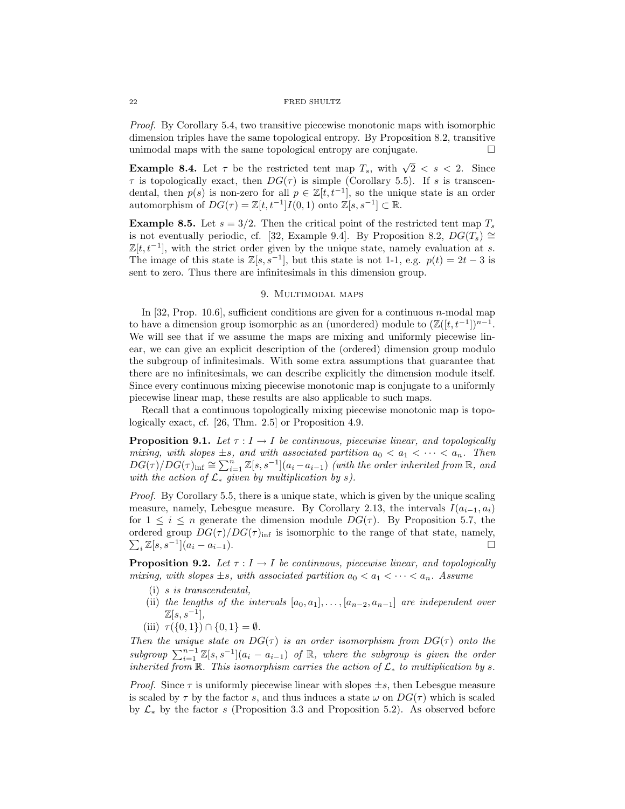Proof. By Corollary 5.4, two transitive piecewise monotonic maps with isomorphic dimension triples have the same topological entropy. By Proposition 8.2, transitive unimodal maps with the same topological entropy are conjugate.

**Example 8.4.** Let  $\tau$  be the restricted tent map  $T_s$ , with  $\sqrt{2} < s < 2$ . Since  $\tau$  is topologically exact, then  $DG(\tau)$  is simple (Corollary 5.5). If s is transcendental, then  $p(s)$  is non-zero for all  $p \in \mathbb{Z}[t, t^{-1}]$ , so the unique state is an order automorphism of  $DG(\tau) = \mathbb{Z}[t, t^{-1}]I(0, 1)$  onto  $\mathbb{Z}[s, s^{-1}] \subset \mathbb{R}$ .

**Example 8.5.** Let  $s = 3/2$ . Then the critical point of the restricted tent map  $T_s$ is not eventually periodic, cf. [32, Example 9.4]. By Proposition 8.2,  $DG(T_s) \cong$  $\mathbb{Z}[t, t^{-1}]$ , with the strict order given by the unique state, namely evaluation at s. The image of this state is  $\mathbb{Z}[s, s^{-1}]$ , but this state is not 1-1, e.g.  $p(t) = 2t - 3$  is sent to zero. Thus there are infinitesimals in this dimension group.

## 9. Multimodal maps

In [32, Prop. 10.6], sufficient conditions are given for a continuous  $n$ -modal map to have a dimension group isomorphic as an (unordered) module to  $(\mathbb{Z}([t,t^{-1}])^{n-1})$ . We will see that if we assume the maps are mixing and uniformly piecewise linear, we can give an explicit description of the (ordered) dimension group modulo the subgroup of infinitesimals. With some extra assumptions that guarantee that there are no infinitesimals, we can describe explicitly the dimension module itself. Since every continuous mixing piecewise monotonic map is conjugate to a uniformly piecewise linear map, these results are also applicable to such maps.

Recall that a continuous topologically mixing piecewise monotonic map is topologically exact, cf. [26, Thm. 2.5] or Proposition 4.9.

**Proposition 9.1.** Let  $\tau : I \to I$  be continuous, piecewise linear, and topologically mixing, with slopes  $\pm s$ , and with associated partition  $a_0 < a_1 < \cdots < a_n$ . Then  $DG(\tau)/DG(\tau)_{\inf}\cong \sum_{i=1}^n \mathbb{Z}[s,s^{-1}](a_i-a_{i-1})$  (with the order inherited from R, and with the action of  $\mathcal{L}_*$  given by multiplication by s).

Proof. By Corollary 5.5, there is a unique state, which is given by the unique scaling measure, namely, Lebesgue measure. By Corollary 2.13, the intervals  $I(a_{i-1}, a_i)$ for  $1 \leq i \leq n$  generate the dimension module  $DG(\tau)$ . By Proposition 5.7, the ordered group  $DG(\tau)/DG(\tau)_{\text{inf}}$  is isomorphic to the range of that state, namely,  $\sum_i \mathbb{Z}[s, s^{-1}](a_i - a_{i-1}).$ 

**Proposition 9.2.** Let  $\tau: I \to I$  be continuous, piecewise linear, and topologically mixing, with slopes  $\pm s$ , with associated partition  $a_0 < a_1 < \cdots < a_n$ . Assume

- (i) s is transcendental,
- (ii) the lengths of the intervals  $[a_0, a_1], \ldots, [a_{n-2}, a_{n-1}]$  are independent over  $\mathbb{Z}[s,s^{-1}],$
- (iii)  $\tau({0, 1}) \cap {0, 1} = \emptyset$ .

Then the unique state on  $DG(\tau)$  is an order isomorphism from  $DG(\tau)$  onto the subgroup  $\sum_{i=1}^{n-1} \mathbb{Z}[s, s^{-1}](a_i - a_{i-1})$  of  $\mathbb{R}$ , where the subgroup is given the order inherited from R. This isomorphism carries the action of  $\mathcal{L}_{*}$  to multiplication by s.

*Proof.* Since  $\tau$  is uniformly piecewise linear with slopes  $\pm s$ , then Lebesgue measure is scaled by  $\tau$  by the factor s, and thus induces a state  $\omega$  on  $DG(\tau)$  which is scaled by  $\mathcal{L}_*$  by the factor s (Proposition 3.3 and Proposition 5.2). As observed before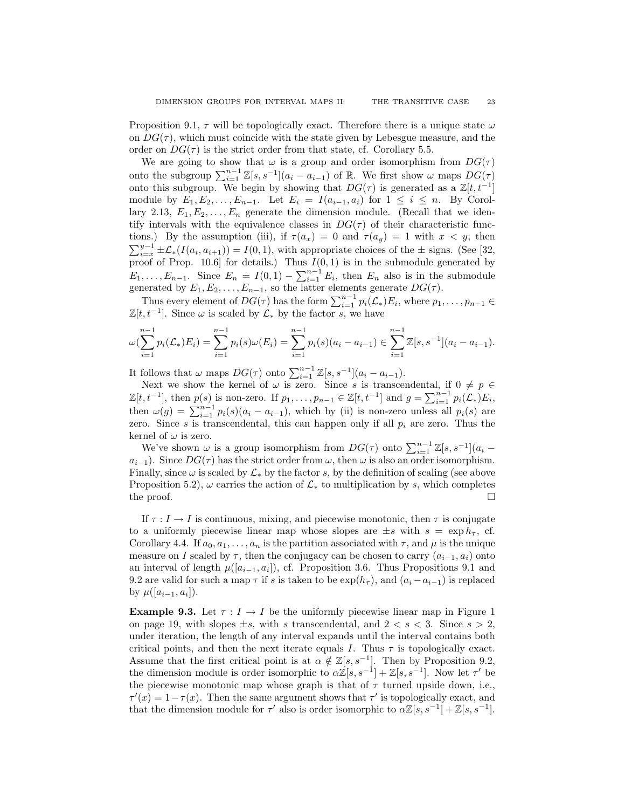Proposition 9.1,  $\tau$  will be topologically exact. Therefore there is a unique state  $\omega$ on  $DG(\tau)$ , which must coincide with the state given by Lebesgue measure, and the order on  $DG(\tau)$  is the strict order from that state, cf. Corollary 5.5.

We are going to show that  $\omega$  is a group and order isomorphism from  $DG(\tau)$ onto the subgroup  $\sum_{i=1}^{n-1} \mathbb{Z}[s, s^{-1}](a_i - a_{i-1})$  of R. We first show  $\omega$  maps  $DG(\tau)$ onto this subgroup. We begin by showing that  $DG(\tau)$  is generated as a  $\mathbb{Z}[t, t^{-1}]$ module by  $E_1, E_2, \ldots, E_{n-1}$ . Let  $E_i = I(a_{i-1}, a_i)$  for  $1 \le i \le n$ . By Corollary 2.13,  $E_1, E_2, \ldots, E_n$  generate the dimension module. (Recall that we identify intervals with the equivalence classes in  $DG(\tau)$  of their characteristic functions.) By the assumption (iii), if  $\tau(a_x) = 0$  and  $\tau(a_y) = 1$  with  $x < y$ , then  $\sum_{i=x}^{y-1} \pm \mathcal{L}_*(I(a_i, a_{i+1})) = I(0, 1)$ , with appropriate choices of the  $\pm$  signs. (See [32, proof of Prop. 10.6] for details.) Thus  $I(0,1)$  is in the submodule generated by  $E_1, \ldots, E_{n-1}$ . Since  $E_n = I(0,1) - \sum_{i=1}^{n-1} E_i$ , then  $E_n$  also is in the submodule generated by  $E_1, E_2, \ldots, E_{n-1}$ , so the latter elements generate  $DG(\tau)$ .

Thus every element of  $DG(\tau)$  has the form  $\sum_{i=1}^{n-1} p_i(\mathcal{L}_*) E_i$ , where  $p_1, \ldots, p_{n-1} \in$  $\mathbb{Z}[t, t^{-1}]$ . Since  $\omega$  is scaled by  $\mathcal{L}_{*}$  by the factor s, we have

$$
\omega(\sum_{i=1}^{n-1} p_i(\mathcal{L}_*) E_i) = \sum_{i=1}^{n-1} p_i(s)\omega(E_i) = \sum_{i=1}^{n-1} p_i(s)(a_i - a_{i-1}) \in \sum_{i=1}^{n-1} \mathbb{Z}[s, s^{-1}](a_i - a_{i-1}).
$$

It follows that  $\omega$  maps  $DG(\tau)$  onto  $\sum_{i=1}^{n-1} \mathbb{Z}[s, s^{-1}](a_i - a_{i-1}).$ 

Next we show the kernel of  $\omega$  is zero. Since s is transcendental, if  $0 \neq p \in$  $\mathbb{Z}[t, t^{-1}]$ , then  $p(s)$  is non-zero. If  $p_1, \ldots, p_{n-1} \in \mathbb{Z}[t, t^{-1}]$  and  $g = \sum_{i=1}^{n-1} p_i(\mathcal{L}_*) E_i$ , then  $\omega(g) = \sum_{i=1}^{n-1} p_i(s)(a_i - a_{i-1})$ , which by (ii) is non-zero unless all  $p_i(s)$  are zero. Since s is transcendental, this can happen only if all  $p_i$  are zero. Thus the kernel of  $\omega$  is zero.

We've shown  $\omega$  is a group isomorphism from  $DG(\tau)$  onto  $\sum_{i=1}^{n-1} \mathbb{Z}[s, s^{-1}](a_i$  $a_{i-1}$ ). Since  $DG(\tau)$  has the strict order from  $\omega$ , then  $\omega$  is also an order isomorphism. Finally, since  $\omega$  is scaled by  $\mathcal{L}_*$  by the factor s, by the definition of scaling (see above Proposition 5.2),  $\omega$  carries the action of  $\mathcal{L}_*$  to multiplication by s, which completes the proof.  $\Box$ 

If  $\tau : I \to I$  is continuous, mixing, and piecewise monotonic, then  $\tau$  is conjugate to a uniformly piecewise linear map whose slopes are  $\pm s$  with  $s = \exp h_{\tau}$ , cf. Corollary 4.4. If  $a_0, a_1, \ldots, a_n$  is the partition associated with  $\tau$ , and  $\mu$  is the unique measure on I scaled by  $\tau$ , then the conjugacy can be chosen to carry  $(a_{i-1}, a_i)$  onto an interval of length  $\mu([a_{i-1}, a_i])$ , cf. Proposition 3.6. Thus Propositions 9.1 and 9.2 are valid for such a map  $\tau$  if s is taken to be  $\exp(h_{\tau})$ , and  $(a_i - a_{i-1})$  is replaced by  $\mu([a_{i-1}, a_i]).$ 

**Example 9.3.** Let  $\tau : I \to I$  be the uniformly piecewise linear map in Figure 1 on page 19, with slopes  $\pm s$ , with s transcendental, and  $2 < s < 3$ . Since  $s > 2$ , under iteration, the length of any interval expands until the interval contains both critical points, and then the next iterate equals I. Thus  $\tau$  is topologically exact. Assume that the first critical point is at  $\alpha \notin \mathbb{Z}[s, s^{-1}]$ . Then by Proposition 9.2, the dimension module is order isomorphic to  $\alpha \mathbb{Z}[s, s^{-1}] + \mathbb{Z}[s, s^{-1}]$ . Now let  $\tau'$  be the piecewise monotonic map whose graph is that of  $\tau$  turned upside down, i.e.,  $\tau'(x) = 1 - \tau(x)$ . Then the same argument shows that  $\tau'$  is topologically exact, and that the dimension module for  $\tau'$  also is order isomorphic to  $\alpha \mathbb{Z}[s, s^{-1}] + \mathbb{Z}[s, s^{-1}]$ .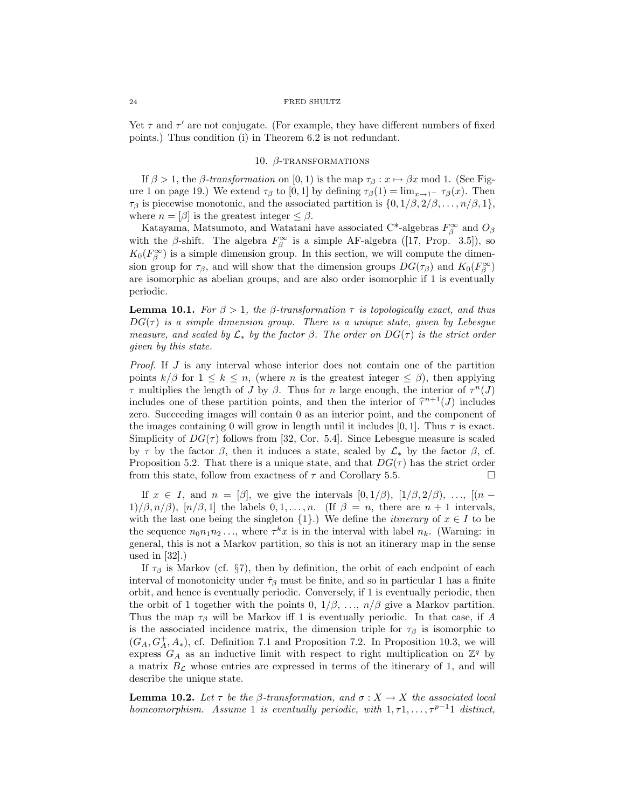Yet  $\tau$  and  $\tau'$  are not conjugate. (For example, they have different numbers of fixed points.) Thus condition (i) in Theorem 6.2 is not redundant.

### 10.  $\beta$ -TRANSFORMATIONS

If  $\beta > 1$ , the  $\beta$ -transformation on [0, 1) is the map  $\tau_{\beta}: x \mapsto \beta x \mod 1$ . (See Figure 1 on page 19.) We extend  $\tau_\beta$  to [0, 1] by defining  $\tau_\beta(1) = \lim_{x\to 1^-} \tau_\beta(x)$ . Then  $\tau_{\beta}$  is piecewise monotonic, and the associated partition is  $\{0, 1/\beta, 2/\beta, \ldots, n/\beta, 1\},$ where  $n = [\beta]$  is the greatest integer  $\leq \beta$ .

Katayama, Matsumoto, and Watatani have associated C<sup>\*</sup>-algebras  $F_\beta^\infty$  and  $O_\beta$ with the  $\beta$ -shift. The algebra  $F_{\beta}^{\infty}$  is a simple AF-algebra ([17, Prop. 3.5]), so  $K_0(F_\beta^\infty)$  is a simple dimension group. In this section, we will compute the dimension group for  $\tau_\beta$ , and will show that the dimension groups  $DG(\tau_\beta)$  and  $K_0(F_\beta^\infty)$ are isomorphic as abelian groups, and are also order isomorphic if 1 is eventually periodic.

**Lemma 10.1.** For  $\beta > 1$ , the  $\beta$ -transformation  $\tau$  is topologically exact, and thus  $DG(\tau)$  is a simple dimension group. There is a unique state, given by Lebesgue measure, and scaled by  $\mathcal{L}_*$  by the factor  $\beta$ . The order on  $DG(\tau)$  is the strict order given by this state.

Proof. If J is any interval whose interior does not contain one of the partition points  $k/\beta$  for  $1 \leq k \leq n$ , (where n is the greatest integer  $\leq \beta$ ), then applying τ multiplies the length of J by β. Thus for n large enough, the interior of  $\tau^n(J)$ includes one of these partition points, and then the interior of  $\hat{\tau}^{n+1}(J)$  includes zero. Succeeding images will contain 0 as an interior point, and the component of the images containing 0 will grow in length until it includes [0, 1]. Thus  $\tau$  is exact. Simplicity of  $DG(\tau)$  follows from [32, Cor. 5.4]. Since Lebesgue measure is scaled by τ by the factor β, then it induces a state, scaled by  $\mathcal{L}_*$  by the factor β, cf. Proposition 5.2. That there is a unique state, and that  $DG(\tau)$  has the strict order from this state, follow from exactness of  $\tau$  and Corollary 5.5.

If  $x \in I$ , and  $n = [\beta]$ , we give the intervals  $[0, 1/\beta)$ ,  $[1/\beta, 2/\beta)$ , ...,  $[(n 1)/\beta$ ,  $n/\beta$ ,  $[n/\beta, 1]$  the labels  $0, 1, ..., n$ . (If  $\beta = n$ , there are  $n + 1$  intervals, with the last one being the singleton  $\{1\}$ .) We define the *itinerary* of  $x \in I$  to be the sequence  $n_0 n_1 n_2 \ldots$ , where  $\tau^k x$  is in the interval with label  $n_k$ . (Warning: in general, this is not a Markov partition, so this is not an itinerary map in the sense used in [32].)

If  $\tau_\beta$  is Markov (cf. §7), then by definition, the orbit of each endpoint of each interval of monotonicity under  $\hat{\tau}_{\beta}$  must be finite, and so in particular 1 has a finite orbit, and hence is eventually periodic. Conversely, if 1 is eventually periodic, then the orbit of 1 together with the points 0,  $1/\beta$ , ...,  $n/\beta$  give a Markov partition. Thus the map  $\tau_\beta$  will be Markov iff 1 is eventually periodic. In that case, if A is the associated incidence matrix, the dimension triple for  $\tau_\beta$  is isomorphic to  $(G_A, G_A^+, A_*)$ , cf. Definition 7.1 and Proposition 7.2. In Proposition 10.3, we will express  $G_A$  as an inductive limit with respect to right multiplication on  $\mathbb{Z}^q$  by a matrix  $B_{\mathcal{L}}$  whose entries are expressed in terms of the itinerary of 1, and will describe the unique state.

**Lemma 10.2.** Let  $\tau$  be the  $\beta$ -transformation, and  $\sigma: X \to X$  the associated local homeomorphism. Assume 1 is eventually periodic, with  $1, \tau 1, \ldots, \tau^{p-1}1$  distinct,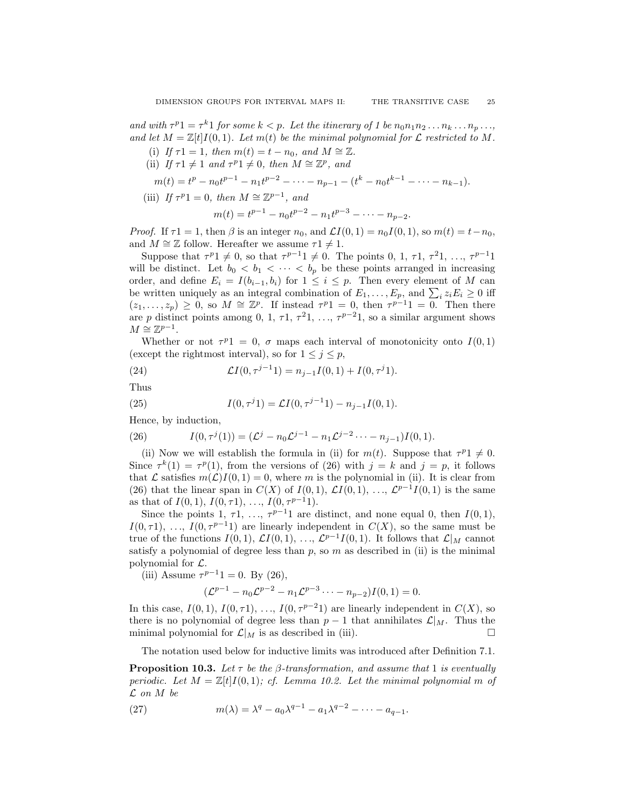and with  $\tau^{p}1 = \tau^{k}1$  for some  $k < p$ . Let the itinerary of 1 be  $n_0 n_1 n_2 \ldots n_k \ldots n_p \ldots$ and let  $M = \mathbb{Z}[t]I(0,1)$ . Let  $m(t)$  be the minimal polynomial for  $\mathcal L$  restricted to M.

- (i) If  $\tau 1 = 1$ , then  $m(t) = t n_0$ , and  $M \cong \mathbb{Z}$ .
- (ii) If  $\tau 1 \neq 1$  and  $\tau^p 1 \neq 0$ , then  $M \cong \mathbb{Z}^p$ , and

$$
m(t) = t^{p} - n_0 t^{p-1} - n_1 t^{p-2} - \dots - n_{p-1} - (t^{k} - n_0 t^{k-1} - \dots - n_{k-1}).
$$

(iii) If  $\tau^{p}1 = 0$ , then  $M \cong \mathbb{Z}^{p-1}$ , and

$$
m(t) = t^{p-1} - n_0 t^{p-2} - n_1 t^{p-3} - \dots - n_{p-2}.
$$

*Proof.* If  $\tau$ 1 = 1, then  $\beta$  is an integer  $n_0$ , and  $\mathcal{L}I(0, 1) = n_0I(0, 1)$ , so  $m(t) = t - n_0$ , and  $M \cong \mathbb{Z}$  follow. Hereafter we assume  $\tau 1 \neq 1$ .

Suppose that  $\tau^{p_1} \neq 0$ , so that  $\tau^{p-1} \neq 0$ . The points 0, 1,  $\tau 1$ ,  $\tau^2 1$ , ...,  $\tau^{p-1}1$ will be distinct. Let  $b_0 < b_1 < \cdots < b_p$  be these points arranged in increasing order, and define  $E_i = I(b_{i-1}, b_i)$  for  $1 \leq i \leq p$ . Then every element of M can be written uniquely as an integral combination of  $E_1, \ldots, E_p$ , and  $\sum_i z_i E_i \geq 0$  iff  $(z_1, \ldots, z_p) \geq 0$ , so  $M \cong \mathbb{Z}^p$ . If instead  $\tau^{p}1 = 0$ , then  $\tau^{p-1}1 = 0$ . Then there are p distinct points among 0, 1,  $\tau$ 1,  $\tau$ <sup>2</sup>1, ...,  $\tau$ <sup>p-2</sup>1, so a similar argument shows  $M \stackrel{\cdot}{\cong} \mathbb{Z}^{p-1}.$ 

Whether or not  $\tau^p 1 = 0$ ,  $\sigma$  maps each interval of monotonicity onto  $I(0,1)$ (except the rightmost interval), so for  $1 \leq j \leq p$ ,

(24) 
$$
\mathcal{L}I(0,\tau^{j-1}1) = n_{j-1}I(0,1) + I(0,\tau^{j}1).
$$

Thus

(25) 
$$
I(0, \tau^{j} 1) = \mathcal{L}I(0, \tau^{j-1} 1) - n_{j-1}I(0, 1).
$$

Hence, by induction,

(26) 
$$
I(0, \tau^{j}(1)) = (\mathcal{L}^{j} - n_0 \mathcal{L}^{j-1} - n_1 \mathcal{L}^{j-2} \cdots - n_{j-1}) I(0, 1).
$$

(ii) Now we will establish the formula in (ii) for  $m(t)$ . Suppose that  $\tau^p 1 \neq 0$ . Since  $\tau^{k}(1) = \tau^{p}(1)$ , from the versions of (26) with  $j = k$  and  $j = p$ , it follows that  $\mathcal L$  satisfies  $m(\mathcal L)I(0, 1) = 0$ , where m is the polynomial in (ii). It is clear from (26) that the linear span in  $C(X)$  of  $I(0,1), L I(0,1), \ldots, L^{p-1} I(0,1)$  is the same as that of  $I(0, 1), I(0, \tau 1), \ldots, I(0, \tau^{p-1} 1)$ .

Since the points 1,  $\tau 1, \ldots, \tau^{p-1}1$  are distinct, and none equal 0, then  $I(0,1)$ ,  $I(0, \tau)$ , ...,  $I(0, \tau^{p-1})$  are linearly independent in  $C(X)$ , so the same must be true of the functions  $I(0,1), L I(0,1), \ldots, L^{p-1} I(0,1)$ . It follows that  $\mathcal{L}|_M$  cannot satisfy a polynomial of degree less than  $p$ , so  $m$  as described in (ii) is the minimal polynomial for  $\mathcal{L}$ .

(iii) Assume  $\tau^{p-1}1 = 0$ . By (26),

$$
(\mathcal{L}^{p-1} - n_0 \mathcal{L}^{p-2} - n_1 \mathcal{L}^{p-3} \cdots - n_{p-2})I(0, 1) = 0.
$$

In this case,  $I(0, 1), I(0, \tau 1), \ldots, I(0, \tau^{p-2} 1)$  are linearly independent in  $C(X)$ , so there is no polynomial of degree less than  $p-1$  that annihilates  $\mathcal{L}|_M$ . Thus the minimal polynomial for  $\mathcal{L}|_M$  is as described in (iii).

The notation used below for inductive limits was introduced after Definition 7.1.

**Proposition 10.3.** Let  $\tau$  be the  $\beta$ -transformation, and assume that 1 is eventually periodic. Let  $M = \mathbb{Z}[t]I(0,1);$  cf. Lemma 10.2. Let the minimal polynomial m of  $\mathcal L$  on  $M$  be

(27) 
$$
m(\lambda) = \lambda^{q} - a_0 \lambda^{q-1} - a_1 \lambda^{q-2} - \dots - a_{q-1}.
$$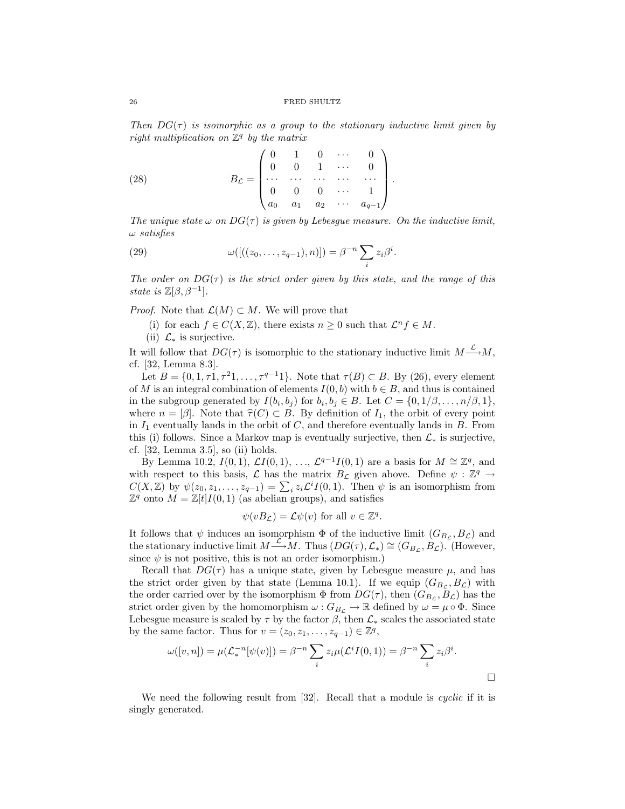Then  $DG(\tau)$  is isomorphic as a group to the stationary inductive limit given by right multiplication on  $\mathbb{Z}^q$  by the matrix

(28) 
$$
B_{\mathcal{L}} = \begin{pmatrix} 0 & 1 & 0 & \cdots & 0 \\ 0 & 0 & 1 & \cdots & 0 \\ \cdots & \cdots & \cdots & \cdots & \cdots \\ 0 & 0 & 0 & \cdots & 1 \\ a_0 & a_1 & a_2 & \cdots & a_{q-1} \end{pmatrix}.
$$

The unique state  $\omega$  on  $DG(\tau)$  is given by Lebesgue measure. On the inductive limit, ω satisfies

(29) 
$$
\omega([(z_0,\ldots,z_{q-1}),n)]) = \beta^{-n} \sum_i z_i \beta^i.
$$

The order on  $DG(\tau)$  is the strict order given by this state, and the range of this state is  $\mathbb{Z}[\beta, \beta^{-1}].$ 

*Proof.* Note that  $\mathcal{L}(M) \subset M$ . We will prove that

(i) for each  $f \in C(X, \mathbb{Z})$ , there exists  $n \geq 0$  such that  $\mathcal{L}^n f \in M$ .

(ii)  $\mathcal{L}_*$  is surjective.

It will follow that  $DG(\tau)$  is isomorphic to the stationary inductive limit  $M \stackrel{\mathcal{L}}{\longrightarrow} M$ , cf. [32, Lemma 8.3].

Let  $B = \{0, 1, \tau, 1, \tau^2, \ldots, \tau^{q-1}\}\$ . Note that  $\tau(B) \subset B$ . By (26), every element of M is an integral combination of elements  $I(0, b)$  with  $b \in B$ , and thus is contained in the subgroup generated by  $I(b_i, b_j)$  for  $b_i, b_j \in B$ . Let  $C = \{0, 1/\beta, \ldots, n/\beta, 1\}$ , where  $n = [\beta]$ . Note that  $\widehat{\tau}(C) \subset B$ . By definition of  $I_1$ , the orbit of every point in  $I_1$  eventually lands in the orbit of  $C$ , and therefore eventually lands in  $B$ . From this (i) follows. Since a Markov map is eventually surjective, then  $\mathcal{L}_{*}$  is surjective, cf. [32, Lemma 3.5], so (ii) holds.

By Lemma 10.2,  $I(0,1)$ ,  $\mathcal{L}I(0,1)$ , ...,  $\mathcal{L}^{q-1}I(0,1)$  are a basis for  $M \cong \mathbb{Z}^q$ , and with respect to this basis,  $\mathcal L$  has the matrix  $B_{\mathcal L}$  given above. Define  $\psi : \mathbb{Z}^q \to$  $C(X, \mathbb{Z})$  by  $\psi(z_0, z_1, \ldots, z_{q-1}) = \sum_i z_i \mathcal{L}^i I(0, 1)$ . Then  $\psi$  is an isomorphism from  $\mathbb{Z}^q$  onto  $M = \mathbb{Z}[t]I(0,1)$  (as abelian groups), and satisfies

$$
\psi(vB_{\mathcal{L}}) = \mathcal{L}\psi(v) \text{ for all } v \in \mathbb{Z}^q.
$$

It follows that  $\psi$  induces an isomorphism  $\Phi$  of the inductive limit  $(G_{B_{\mathcal{L}}},B_{\mathcal{L}})$  and the stationary inductive limit  $M \xrightarrow{\mathcal{L}} M$ . Thus  $(DG(\tau), \mathcal{L}_*) \cong (G_{B_{\mathcal{L}}}, B_{\mathcal{L}})$ . (However, since  $\psi$  is not positive, this is not an order isomorphism.)

Recall that  $DG(\tau)$  has a unique state, given by Lebesgue measure  $\mu$ , and has the strict order given by that state (Lemma 10.1). If we equip  $(G_{B_{\mathcal{L}}},B_{\mathcal{L}})$  with the order carried over by the isomorphism  $\Phi$  from  $DG(\tau)$ , then  $(G_{B_{\mathcal{L}}}, B_{\mathcal{L}})$  has the strict order given by the homomorphism  $\omega : G_{B_{\mathcal{L}}} \to \mathbb{R}$  defined by  $\omega = \mu \circ \Phi$ . Since Lebesgue measure is scaled by  $\tau$  by the factor  $\beta$ , then  $\mathcal{L}_*$  scales the associated state by the same factor. Thus for  $v = (z_0, z_1, \ldots, z_{q-1}) \in \mathbb{Z}^q$ ,

$$
\omega([v,n]) = \mu(\mathcal{L}_*^{-n}[\psi(v)]) = \beta^{-n} \sum_i z_i \mu(\mathcal{L}^i I(0,1)) = \beta^{-n} \sum_i z_i \beta^i.
$$

We need the following result from [32]. Recall that a module is *cyclic* if it is singly generated.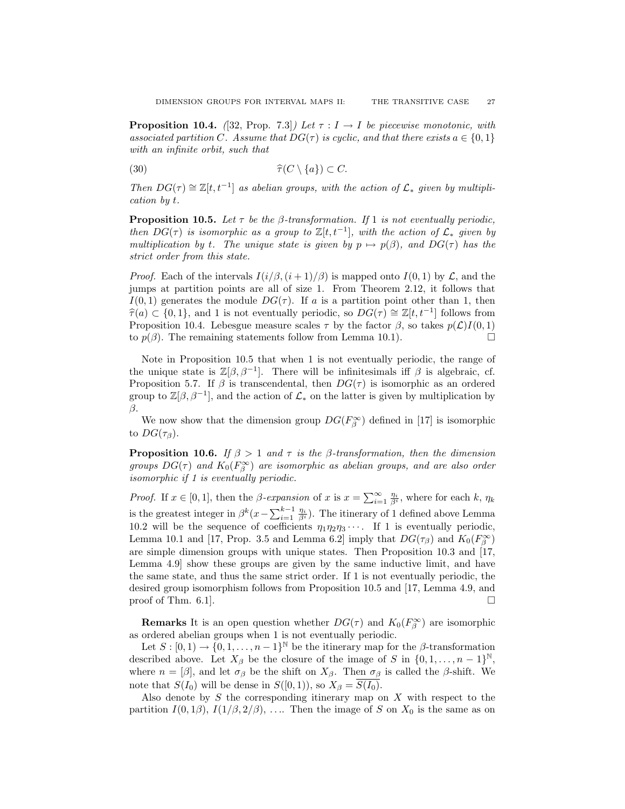**Proposition 10.4.** ([32, Prop. 7.3]) Let  $\tau : I \to I$  be piecewise monotonic, with associated partition C. Assume that  $DG(\tau)$  is cyclic, and that there exists  $a \in \{0,1\}$ with an infinite orbit, such that

(30) 
$$
\widehat{\tau}(C \setminus \{a\}) \subset C.
$$

Then  $DG(\tau) \cong \mathbb{Z}[t, t^{-1}]$  as abelian groups, with the action of  $\mathcal{L}_*$  given by multiplication by t.

**Proposition 10.5.** Let  $\tau$  be the  $\beta$ -transformation. If 1 is not eventually periodic, then  $DG(\tau)$  is isomorphic as a group to  $\mathbb{Z}[t, t^{-1}]$ , with the action of  $\mathcal{L}_*$  given by multiplication by t. The unique state is given by  $p \mapsto p(\beta)$ , and  $DG(\tau)$  has the strict order from this state.

*Proof.* Each of the intervals  $I(i/\beta, (i+1)/\beta)$  is mapped onto  $I(0, 1)$  by  $\mathcal{L}$ , and the jumps at partition points are all of size 1. From Theorem 2.12, it follows that  $I(0,1)$  generates the module  $DG(\tau)$ . If a is a partition point other than 1, then  $\hat{\tau}(a) \subset \{0, 1\}$ , and 1 is not eventually periodic, so  $DG(\tau) \cong \mathbb{Z}[t, t^{-1}]$  follows from<br>Proposition 10.4. I shown a measure scales  $\tau$  by the factor  $\beta$  so takes  $p(\mathcal{L})I(0, 1)$ Proposition 10.4. Lebesgue measure scales  $\tau$  by the factor  $\beta$ , so takes  $p(\mathcal{L})I(0,1)$ to  $p(\beta)$ . The remaining statements follow from Lemma 10.1).

Note in Proposition 10.5 that when 1 is not eventually periodic, the range of the unique state is  $\mathbb{Z}[\beta, \beta^{-1}]$ . There will be infinitesimals iff  $\beta$  is algebraic, cf. Proposition 5.7. If  $\beta$  is transcendental, then  $DG(\tau)$  is isomorphic as an ordered group to  $\mathbb{Z}[\beta, \beta^{-1}]$ , and the action of  $\mathcal{L}_*$  on the latter is given by multiplication by β.

We now show that the dimension group  $DG(F_\beta^\infty)$  defined in [17] is isomorphic to  $DG(\tau_{\beta})$ .

**Proposition 10.6.** If  $\beta > 1$  and  $\tau$  is the  $\beta$ -transformation, then the dimension groups  $DG(\tau)$  and  $K_0(F_\beta^\infty)$  are isomorphic as abelian groups, and are also order isomorphic if 1 is eventually periodic.

*Proof.* If  $x \in [0, 1]$ , then the  $\beta$ -expansion of x is  $x = \sum_{i=1}^{\infty} \frac{\eta_i}{\beta^i}$ , where for each k,  $\eta_k$ is the greatest integer in  $\beta^k(x-\sum_{i=1}^{k-1}\frac{\eta_i}{\beta^i})$ . The itinerary of 1 defined above Lemma 10.2 will be the sequence of coefficients  $\eta_1 \eta_2 \eta_3 \cdots$ . If 1 is eventually periodic, Lemma 10.1 and [17, Prop. 3.5 and Lemma 6.2] imply that  $DG(\tau_\beta)$  and  $K_0(F_\beta^\infty)$ are simple dimension groups with unique states. Then Proposition 10.3 and [17, Lemma 4.9] show these groups are given by the same inductive limit, and have the same state, and thus the same strict order. If 1 is not eventually periodic, the desired group isomorphism follows from Proposition 10.5 and [17, Lemma 4.9, and proof of Thm. 6.1].

**Remarks** It is an open question whether  $DG(\tau)$  and  $K_0(F_\beta^{\infty})$  are isomorphic as ordered abelian groups when 1 is not eventually periodic.

Let  $S : [0, 1) \to \{0, 1, \ldots, n-1\}^{\mathbb{N}}$  be the itinerary map for the  $\beta$ -transformation described above. Let  $X_{\beta}$  be the closure of the image of S in  $\{0, 1, \ldots, n-1\}^{\mathbb{N}},$ where  $n = [\beta]$ , and let  $\sigma_{\beta}$  be the shift on  $X_{\beta}$ . Then  $\sigma_{\beta}$  is called the  $\beta$ -shift. We note that  $S(I_0)$  will be dense in  $S([0, 1))$ , so  $X_\beta = S(I_0)$ .

Also denote by  $S$  the corresponding itinerary map on  $X$  with respect to the partition  $I(0,1\beta), I(1/\beta, 2/\beta), \ldots$  Then the image of S on  $X_0$  is the same as on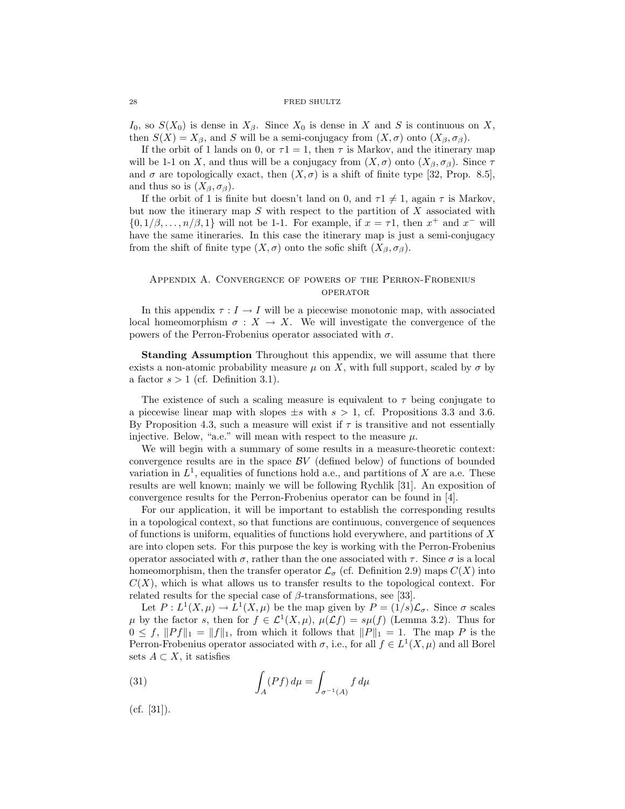$I_0$ , so  $S(X_0)$  is dense in  $X_\beta$ . Since  $X_0$  is dense in X and S is continuous on X, then  $S(X) = X_{\beta}$ , and S will be a semi-conjugacy from  $(X, \sigma)$  onto  $(X_{\beta}, \sigma_{\beta})$ .

If the orbit of 1 lands on 0, or  $\tau$ 1 = 1, then  $\tau$  is Markov, and the itinerary map will be 1-1 on X, and thus will be a conjugacy from  $(X, \sigma)$  onto  $(X_{\beta}, \sigma_{\beta})$ . Since  $\tau$ and  $\sigma$  are topologically exact, then  $(X, \sigma)$  is a shift of finite type [32, Prop. 8.5], and thus so is  $(X_{\beta}, \sigma_{\beta})$ .

If the orbit of 1 is finite but doesn't land on 0, and  $\tau \neq 1$ , again  $\tau$  is Markov, but now the itinerary map  $S$  with respect to the partition of  $X$  associated with  $\{0, 1/\beta, \ldots, n/\beta, 1\}$  will not be 1-1. For example, if  $x = \tau 1$ , then  $x^+$  and  $x^-$  will have the same itineraries. In this case the itinerary map is just a semi-conjugacy from the shift of finite type  $(X, \sigma)$  onto the sofic shift  $(X_{\beta}, \sigma_{\beta})$ .

## Appendix A. Convergence of powers of the Perron-Frobenius **OPERATOR**

In this appendix  $\tau : I \to I$  will be a piecewise monotonic map, with associated local homeomorphism  $\sigma : X \to X$ . We will investigate the convergence of the powers of the Perron-Frobenius operator associated with  $\sigma$ .

Standing Assumption Throughout this appendix, we will assume that there exists a non-atomic probability measure  $\mu$  on X, with full support, scaled by  $\sigma$  by a factor  $s > 1$  (cf. Definition 3.1).

The existence of such a scaling measure is equivalent to  $\tau$  being conjugate to a piecewise linear map with slopes  $\pm s$  with  $s > 1$ , cf. Propositions 3.3 and 3.6. By Proposition 4.3, such a measure will exist if  $\tau$  is transitive and not essentially injective. Below, "a.e." will mean with respect to the measure  $\mu$ .

We will begin with a summary of some results in a measure-theoretic context: convergence results are in the space  $BV$  (defined below) of functions of bounded variation in  $L^1$ , equalities of functions hold a.e., and partitions of X are a.e. These results are well known; mainly we will be following Rychlik [31]. An exposition of convergence results for the Perron-Frobenius operator can be found in [4].

For our application, it will be important to establish the corresponding results in a topological context, so that functions are continuous, convergence of sequences of functions is uniform, equalities of functions hold everywhere, and partitions of  $X$ are into clopen sets. For this purpose the key is working with the Perron-Frobenius operator associated with  $\sigma$ , rather than the one associated with  $\tau$ . Since  $\sigma$  is a local homeomorphism, then the transfer operator  $\mathcal{L}_{\sigma}$  (cf. Definition 2.9) maps  $C(X)$  into  $C(X)$ , which is what allows us to transfer results to the topological context. For related results for the special case of  $\beta$ -transformations, see [33].

Let  $P: L^1(X, \mu) \to L^1(X, \mu)$  be the map given by  $P = (1/s)\mathcal{L}_{\sigma}$ . Since  $\sigma$  scales  $\mu$  by the factor s, then for  $f \in \mathcal{L}^1(X,\mu)$ ,  $\mu(\mathcal{L}f) = s\mu(f)$  (Lemma 3.2). Thus for  $0 \leq f, \|Pf\|_1 = \|f\|_1$ , from which it follows that  $\|P\|_1 = 1$ . The map P is the Perron-Frobenius operator associated with  $\sigma$ , i.e., for all  $f \in L^1(X,\mu)$  and all Borel sets  $A \subset X$ , it satisfies

(31) 
$$
\int_{A} (Pf) d\mu = \int_{\sigma^{-1}(A)} f d\mu
$$

(cf. [31]).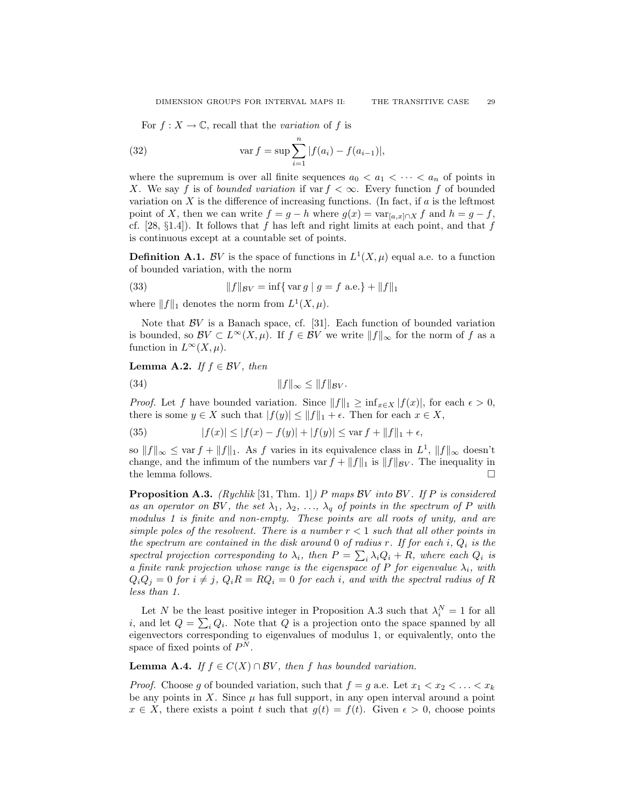For  $f: X \to \mathbb{C}$ , recall that the variation of f is

(32) 
$$
\operatorname{var} f = \sup \sum_{i=1}^{n} |f(a_i) - f(a_{i-1})|,
$$

where the supremum is over all finite sequences  $a_0 < a_1 < \cdots < a_n$  of points in X. We say f is of bounded variation if var  $f < \infty$ . Every function f of bounded variation on  $X$  is the difference of increasing functions. (In fact, if  $a$  is the leftmost point of X, then we can write  $f = g - h$  where  $g(x) = \text{var}_{[a,x] \cap X} f$  and  $h = g - f$ , cf.  $[28, §1.4]$ . It follows that f has left and right limits at each point, and that f is continuous except at a countable set of points.

**Definition A.1.** BV is the space of functions in  $L^1(X,\mu)$  equal a.e. to a function of bounded variation, with the norm

(33) 
$$
||f||_{BV} = \inf \{ \text{var } g \mid g = f \text{ a.e.} \} + ||f||_1
$$

where  $||f||_1$  denotes the norm from  $L^1(X, \mu)$ .

Note that  $BV$  is a Banach space, cf. [31]. Each function of bounded variation is bounded, so  $\mathcal{B}V \subset L^{\infty}(X,\mu)$ . If  $f \in \mathcal{B}V$  we write  $||f||_{\infty}$  for the norm of f as a function in  $L^{\infty}(X,\mu)$ .

## **Lemma A.2.** If  $f \in BV$ , then

$$
(34) \t\t\t\t||f||_{\infty} \leq ||f||_{\mathcal{BV}}.
$$

*Proof.* Let f have bounded variation. Since  $||f||_1 \ge \inf_{x \in X} |f(x)|$ , for each  $\epsilon > 0$ , there is some  $y \in X$  such that  $|f(y)| \leq ||f||_1 + \epsilon$ . Then for each  $x \in X$ ,

(35) 
$$
|f(x)| \le |f(x) - f(y)| + |f(y)| \le \text{var } f + \|f\|_1 + \epsilon,
$$

so  $||f||_{\infty} \leq \text{var } f + ||f||_1$ . As f varies in its equivalence class in  $L^1$ ,  $||f||_{\infty}$  doesn't change, and the infimum of the numbers var  $f + ||f||_1$  is  $||f||_{BV}$ . The inequality in the lemma follows.

**Proposition A.3.** (Rychlik [31, Thm. 1]) P maps  $\mathcal{B}V$  into  $\mathcal{B}V$ . If P is considered as an operator on BV, the set  $\lambda_1, \lambda_2, \ldots, \lambda_q$  of points in the spectrum of P with modulus 1 is finite and non-empty. These points are all roots of unity, and are simple poles of the resolvent. There is a number  $r < 1$  such that all other points in the spectrum are contained in the disk around 0 of radius r. If for each i,  $Q_i$  is the spectral projection corresponding to  $\lambda_i$ , then  $P = \sum_i \lambda_i Q_i + R$ , where each  $Q_i$  is a finite rank projection whose range is the eigenspace of P for eigenvalue  $\lambda_i$ , with  $Q_iQ_j = 0$  for  $i \neq j$ ,  $Q_iR = RQ_i = 0$  for each i, and with the spectral radius of R less than 1.

Let N be the least positive integer in Proposition A.3 such that  $\lambda_i^N = 1$  for all i, and let  $Q = \sum_i Q_i$ . Note that Q is a projection onto the space spanned by all eigenvectors corresponding to eigenvalues of modulus 1, or equivalently, onto the space of fixed points of  $P^N$ .

**Lemma A.4.** If  $f \in C(X) \cap BV$ , then f has bounded variation.

*Proof.* Choose g of bounded variation, such that  $f = g$  a.e. Let  $x_1 < x_2 < \ldots < x_k$ be any points in X. Since  $\mu$  has full support, in any open interval around a point  $x \in X$ , there exists a point t such that  $g(t) = f(t)$ . Given  $\epsilon > 0$ , choose points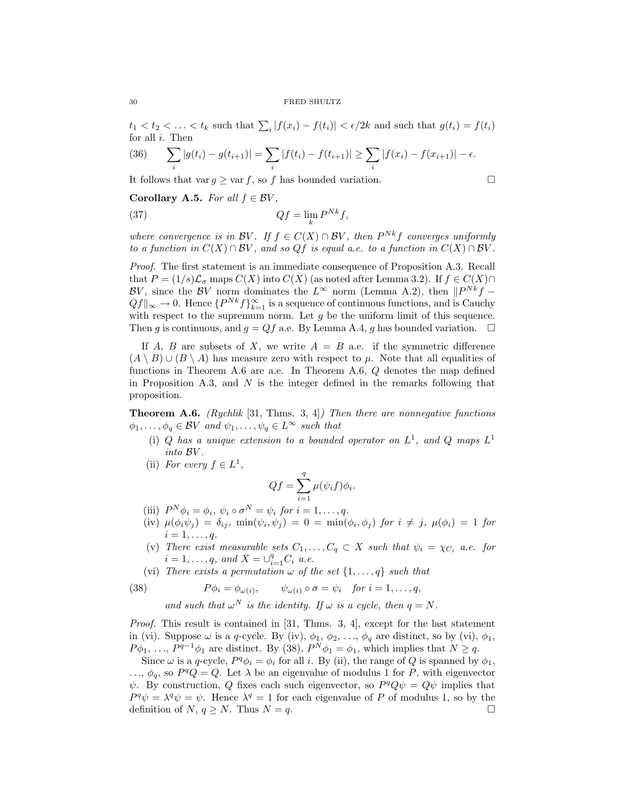$t_1 < t_2 < \ldots < t_k$  such that  $\sum_i |f(x_i) - f(t_i)| < \epsilon/2k$  and such that  $g(t_i) = f(t_i)$ for all  $i$ . Then

(36) 
$$
\sum_{i} |g(t_i) - g(t_{i+1})| = \sum_{i} |f(t_i) - f(t_{i+1})| \ge \sum_{i} |f(x_i) - f(x_{i+1})| - \epsilon.
$$

It follows that var  $g \geq \text{var } f$ , so f has bounded variation.

$$
\Box
$$

Corollary A.5. For all  $f \in BV$ ,

(37) 
$$
Qf = \lim_{k} P^{Nk} f,
$$

where convergence is in BV. If  $f \in C(X) \cap BV$ , then  $P^{Nk}f$  converges uniformly to a function in  $C(X) \cap \mathcal{BV}$ , and so  $Qf$  is equal a.e. to a function in  $C(X) \cap \mathcal{BV}$ .

Proof. The first statement is an immediate consequence of Proposition A.3. Recall that  $P = (1/s)\mathcal{L}_{\sigma}$  maps  $C(X)$  into  $C(X)$  (as noted after Lemma 3.2). If  $f \in C(X) \cap$ BV, since the BV norm dominates the  $L^{\infty}$  norm (Lemma A.2), then  $||P^{Nk}f Qf\|_{\infty}\to 0$ . Hence  $\{P^{Nk}f\}_{k=1}^{\infty}$  is a sequence of continuous functions, and is Cauchy with respect to the supremum norm. Let  $g$  be the uniform limit of this sequence. Then g is continuous, and  $q = Qf$  a.e. By Lemma A.4, g has bounded variation.  $\Box$ 

If A, B are subsets of X, we write  $A = B$  a.e. if the symmetric difference  $(A \setminus B) \cup (B \setminus A)$  has measure zero with respect to  $\mu$ . Note that all equalities of functions in Theorem A.6 are a.e. In Theorem A.6, Q denotes the map defined in Proposition A.3, and  $N$  is the integer defined in the remarks following that proposition.

**Theorem A.6.** (Rychlik [31, Thms. 3, 4]) Then there are nonnegative functions  $\phi_1, \ldots, \phi_q \in BV$  and  $\psi_1, \ldots, \psi_q \in L^{\infty}$  such that

- (i) Q has a unique extension to a bounded operator on  $L^1$ , and Q maps  $L^1$ into BV .
- (ii) For every  $f \in L^1$ ,

$$
Qf = \sum_{i=1}^{q} \mu(\psi_i f) \phi_i.
$$

- (iii)  $P^N \phi_i = \phi_i, \ \psi_i \circ \sigma^N = \psi_i \ for \ i = 1, \ldots, q.$
- (iv)  $\mu(\phi_i \psi_j) = \delta_{ij}$ ,  $\min(\psi_i, \psi_j) = 0 = \min(\phi_i, \phi_j)$  for  $i \neq j$ ,  $\mu(\phi_i) = 1$  for  $i=1,\ldots,q.$
- (v) There exist measurable sets  $C_1, \ldots, C_q \subset X$  such that  $\psi_i = \chi_{C_i}$  a.e. for  $i = 1, ..., q$ , and  $X = \bigcup_{i=1}^{q} C_i$  a.e.
- (vi) There exists a permutation  $\omega$  of the set  $\{1, \ldots, q\}$  such that

(38) 
$$
P\phi_i = \phi_{\omega(i)}, \qquad \psi_{\omega(i)} \circ \sigma = \psi_i \quad \text{for } i = 1, \dots, q,
$$

and such that 
$$
\omega^N
$$
 is the identity. If  $\omega$  is a cycle, then  $q = N$ .

Proof. This result is contained in [31, Thms. 3, 4], except for the last statement in (vi). Suppose  $\omega$  is a q-cycle. By (iv),  $\phi_1$ ,  $\phi_2$ , ...,  $\phi_q$  are distinct, so by (vi),  $\phi_1$ ,  $P\phi_1, \ldots, P^{q-1}\phi_1$  are distinct. By (38),  $P^N\phi_1 = \phi_1$ , which implies that  $N \ge q$ .

Since  $\omega$  is a q-cycle,  $P^q \phi_i = \phi_i$  for all i. By (ii), the range of Q is spanned by  $\phi_1$ ,  $\ldots, \phi_q$ , so  $P^qQ = Q$ . Let  $\lambda$  be an eigenvalue of modulus 1 for P, with eigenvector  $\psi$ . By construction, Q fixes each such eigenvector, so  $P^q Q \psi = Q \psi$  implies that  $P^q\psi = \lambda^q\psi = \psi$ . Hence  $\lambda^q = 1$  for each eigenvalue of P of modulus 1, so by the definition of  $N, q \ge N$ . Thus  $N = q$ .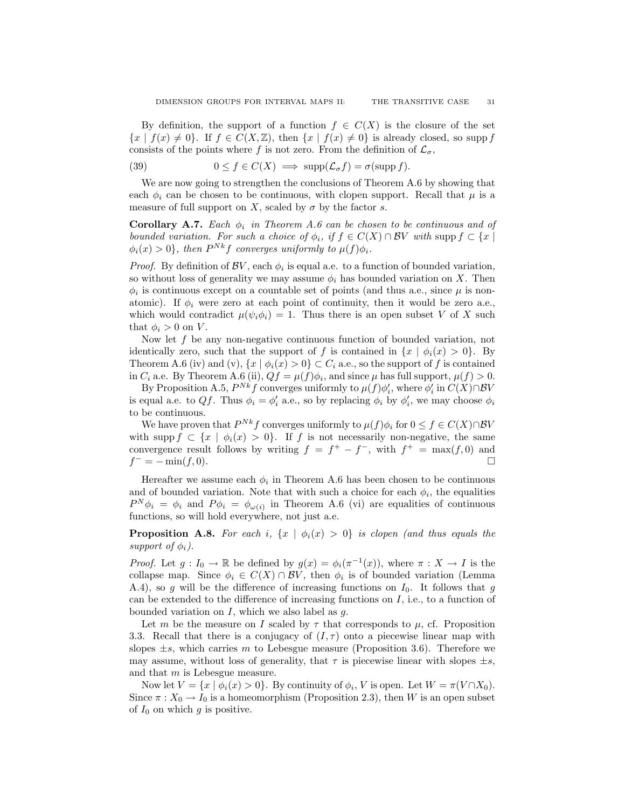By definition, the support of a function  $f \in C(X)$  is the closure of the set  ${x \mid f(x) \neq 0}$ . If  $f \in C(X, \mathbb{Z})$ , then  ${x \mid f(x) \neq 0}$  is already closed, so supp f consists of the points where f is not zero. From the definition of  $\mathcal{L}_{\sigma}$ ,

(39)  $0 \le f \in C(X) \implies \text{supp}(\mathcal{L}_{\sigma}f) = \sigma(\text{supp }f).$ 

We are now going to strengthen the conclusions of Theorem A.6 by showing that each  $\phi_i$  can be chosen to be continuous, with clopen support. Recall that  $\mu$  is a measure of full support on X, scaled by  $\sigma$  by the factor s.

Corollary A.7. Each  $\phi_i$  in Theorem A.6 can be chosen to be continuous and of bounded variation. For such a choice of  $\phi_i$ , if  $f \in C(X) \cap BV$  with supp  $f \subset \{x \mid$  $\phi_i(x) > 0$ , then  $P^{Nk}f$  converges uniformly to  $\mu(f)\phi_i$ .

*Proof.* By definition of  $BV$ , each  $\phi_i$  is equal a.e. to a function of bounded variation, so without loss of generality we may assume  $\phi_i$  has bounded variation on X. Then  $\phi_i$  is continuous except on a countable set of points (and thus a.e., since  $\mu$  is nonatomic). If  $\phi_i$  were zero at each point of continuity, then it would be zero a.e., which would contradict  $\mu(\psi_i \phi_i) = 1$ . Thus there is an open subset V of X such that  $\phi_i > 0$  on V.

Now let f be any non-negative continuous function of bounded variation, not identically zero, such that the support of f is contained in  $\{x \mid \phi_i(x) > 0\}$ . By Theorem A.6 (iv) and (v),  $\{x \mid \phi_i(x) > 0\} \subset C_i$  a.e., so the support of f is contained in  $C_i$  a.e. By Theorem A.6 (ii),  $Qf = \mu(f)\phi_i$ , and since  $\mu$  has full support,  $\mu(f) > 0$ .

By Proposition A.5,  $P^{Nk} f$  converges uniformly to  $\mu(f)\phi'_i$ , where  $\phi'_i$  in  $C(X)\cap\mathcal{BV}$ is equal a.e. to Qf. Thus  $\phi_i = \phi'_i$  a.e., so by replacing  $\phi_i$  by  $\phi'_i$ , we may choose  $\phi_i$ to be continuous.

We have proven that  $P^{Nk}f$  converges uniformly to  $\mu(f)\phi_i$  for  $0 \le f \in C(X) \cap BV$ with supp  $f \subset \{x \mid \phi_i(x) > 0\}$ . If f is not necessarily non-negative, the same convergence result follows by writing  $f = f^+ - f^-$ , with  $f^+ = \max(f, 0)$  and  $f^- = -\min(f, 0).$ 

Hereafter we assume each  $\phi_i$  in Theorem A.6 has been chosen to be continuous and of bounded variation. Note that with such a choice for each  $\phi_i$ , the equalities  $P^N \phi_i = \phi_i$  and  $P \phi_i = \phi_{\omega(i)}$  in Theorem A.6 (vi) are equalities of continuous functions, so will hold everywhere, not just a.e.

**Proposition A.8.** For each i,  $\{x \mid \phi_i(x) > 0\}$  is clopen (and thus equals the support of  $\phi_i$ ).

*Proof.* Let  $g: I_0 \to \mathbb{R}$  be defined by  $g(x) = \phi_i(\pi^{-1}(x))$ , where  $\pi: X \to I$  is the collapse map. Since  $\phi_i \in C(X) \cap BV$ , then  $\phi_i$  is of bounded variation (Lemma A.4), so g will be the difference of increasing functions on  $I_0$ . It follows that g can be extended to the difference of increasing functions on  $I$ , i.e., to a function of bounded variation on  $I$ , which we also label as  $q$ .

Let m be the measure on I scaled by  $\tau$  that corresponds to  $\mu$ , cf. Proposition 3.3. Recall that there is a conjugacy of  $(I, \tau)$  onto a piecewise linear map with slopes  $\pm s$ , which carries m to Lebesgue measure (Proposition 3.6). Therefore we may assume, without loss of generality, that  $\tau$  is piecewise linear with slopes  $\pm s$ , and that m is Lebesgue measure.

Now let  $V = \{x \mid \phi_i(x) > 0\}$ . By continuity of  $\phi_i$ , V is open. Let  $W = \pi(V \cap X_0)$ . Since  $\pi : X_0 \to I_0$  is a homeomorphism (Proposition 2.3), then W is an open subset of  $I_0$  on which g is positive.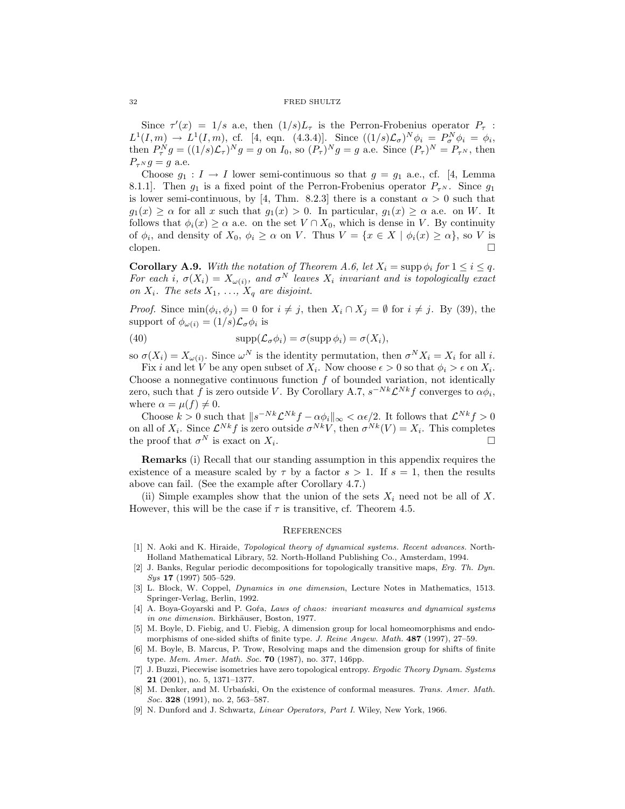Since  $\tau'(x) = 1/s$  a.e, then  $(1/s)L_{\tau}$  is the Perron-Frobenius operator  $P_{\tau}$ :  $L^1(I,m) \to L^1(I,m)$ , cf. [4, eqn. (4.3.4)]. Since  $((1/s)\mathcal{L}_{\sigma})^N \phi_i = P_{\sigma}^N \phi_i = \phi_i$ , then  $P_\tau^N g = ((1/s)\mathcal{L}_\tau)^N g = g$  on  $I_0$ , so  $(P_\tau)^N g = g$  a.e. Since  $(P_\tau)^N = P_{\tau^N}$ , then  $P_{\tau^N} g = g$  a.e.

Choose  $g_1: I \to I$  lower semi-continuous so that  $g = g_1$  a.e., cf. [4, Lemma 8.1.1. Then  $g_1$  is a fixed point of the Perron-Frobenius operator  $P_{\tau_N}$ . Since  $g_1$ is lower semi-continuous, by [4, Thm. 8.2.3] there is a constant  $\alpha > 0$  such that  $g_1(x) \geq \alpha$  for all x such that  $g_1(x) > 0$ . In particular,  $g_1(x) \geq \alpha$  a.e. on W. It follows that  $\phi_i(x) \geq \alpha$  a.e. on the set  $V \cap X_0$ , which is dense in V. By continuity of  $\phi_i$ , and density of  $X_0$ ,  $\phi_i \geq \alpha$  on V. Thus  $V = \{x \in X \mid \phi_i(x) \geq \alpha\}$ , so V is  $\Box$ clopen.  $\Box$ 

**Corollary A.9.** With the notation of Theorem A.6, let  $X_i = \text{supp } \phi_i$  for  $1 \leq i \leq q$ . For each i,  $\sigma(X_i) = X_{\omega(i)}$ , and  $\sigma^N$  leaves  $X_i$  invariant and is topologically exact on  $X_i$ . The sets  $X_1, \ldots, X_q$  are disjoint.

*Proof.* Since  $\min(\phi_i, \phi_j) = 0$  for  $i \neq j$ , then  $X_i \cap X_j = \emptyset$  for  $i \neq j$ . By (39), the support of  $\phi_{\omega(i)} = (1/s)\mathcal{L}_{\sigma}\phi_i$  is

(40) 
$$
\operatorname{supp}(\mathcal{L}_{\sigma}\phi_i) = \sigma(\operatorname{supp}\phi_i) = \sigma(X_i),
$$

so  $\sigma(X_i) = X_{\omega(i)}$ . Since  $\omega^N$  is the identity permutation, then  $\sigma^N X_i = X_i$  for all i.

Fix *i* and let V be any open subset of  $X_i$ . Now choose  $\epsilon > 0$  so that  $\phi_i > \epsilon$  on  $X_i$ . Choose a nonnegative continuous function  $f$  of bounded variation, not identically zero, such that f is zero outside V. By Corollary A.7,  $s^{-Nk} \mathcal{L}^{Nk} f$  converges to  $\alpha \phi_i$ , where  $\alpha = \mu(f) \neq 0$ .

Choose  $k > 0$  such that  $||s^{-Nk}\mathcal{L}^{Nk}f - \alpha \phi_i||_{\infty} < \alpha \epsilon/2$ . It follows that  $\mathcal{L}^{Nk}f > 0$ on all of  $X_i$ . Since  $\mathcal{L}^{Nk}f$  is zero outside  $\sigma^{Nk}V$ , then  $\sigma^{Nk}(V) = X_i$ . This completes the proof that  $\sigma^N$  is exact on  $X_i$ .

Remarks (i) Recall that our standing assumption in this appendix requires the existence of a measure scaled by  $\tau$  by a factor  $s > 1$ . If  $s = 1$ , then the results above can fail. (See the example after Corollary 4.7.)

(ii) Simple examples show that the union of the sets  $X_i$  need not be all of X. However, this will be the case if  $\tau$  is transitive, cf. Theorem 4.5.

### **REFERENCES**

- [1] N. Aoki and K. Hiraide, Topological theory of dynamical systems. Recent advances. North-Holland Mathematical Library, 52. North-Holland Publishing Co., Amsterdam, 1994.
- [2] J. Banks, Regular periodic decompositions for topologically transitive maps, Erg. Th. Dyn. Sys 17 (1997) 505-529.
- [3] L. Block, W. Coppel, Dynamics in one dimension, Lecture Notes in Mathematics, 1513. Springer-Verlag, Berlin, 1992.
- [4] A. Boya-Goyarski and P. Gora, Laws of chaos: invariant measures and dynamical systems in one dimension. Birkhäuser, Boston, 1977.
- [5] M. Boyle, D. Fiebig, and U. Fiebig, A dimension group for local homeomorphisms and endomorphisms of one-sided shifts of finite type. J. Reine Angew. Math. **487** (1997), 27–59.
- [6] M. Boyle, B. Marcus, P. Trow, Resolving maps and the dimension group for shifts of finite type. Mem. Amer. Math. Soc. 70 (1987), no. 377, 146pp.
- [7] J. Buzzi, Piecewise isometries have zero topological entropy. Ergodic Theory Dynam. Systems 21 (2001), no. 5, 1371–1377.
- [8] M. Denker, and M. Urbański, On the existence of conformal measures. Trans. Amer. Math. Soc. 328 (1991), no. 2, 563-587.
- [9] N. Dunford and J. Schwartz, Linear Operators, Part I. Wiley, New York, 1966.